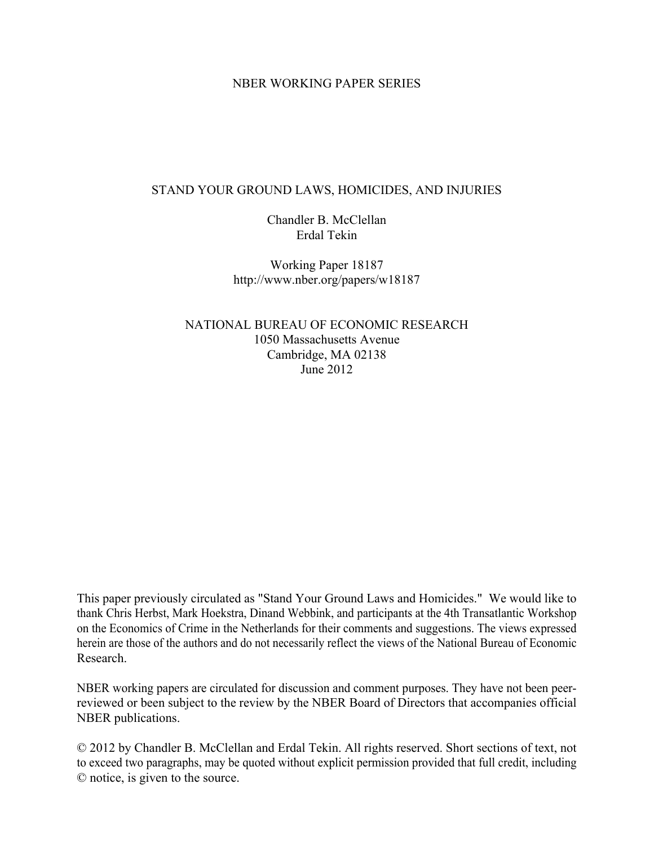# NBER WORKING PAPER SERIES

# STAND YOUR GROUND LAWS, HOMICIDES, AND INJURIES

Chandler B. McClellan Erdal Tekin

Working Paper 18187 http://www.nber.org/papers/w18187

NATIONAL BUREAU OF ECONOMIC RESEARCH 1050 Massachusetts Avenue Cambridge, MA 02138 June 2012

This paper previously circulated as "Stand Your Ground Laws and Homicides." We would like to thank Chris Herbst, Mark Hoekstra, Dinand Webbink, and participants at the 4th Transatlantic Workshop on the Economics of Crime in the Netherlands for their comments and suggestions. The views expressed herein are those of the authors and do not necessarily reflect the views of the National Bureau of Economic Research.

NBER working papers are circulated for discussion and comment purposes. They have not been peerreviewed or been subject to the review by the NBER Board of Directors that accompanies official NBER publications.

© 2012 by Chandler B. McClellan and Erdal Tekin. All rights reserved. Short sections of text, not to exceed two paragraphs, may be quoted without explicit permission provided that full credit, including © notice, is given to the source.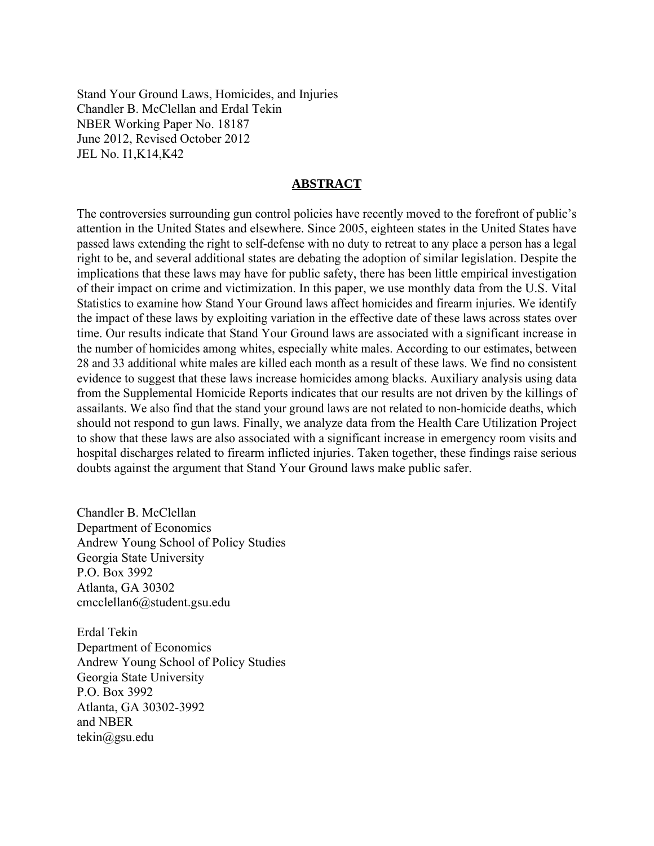Stand Your Ground Laws, Homicides, and Injuries Chandler B. McClellan and Erdal Tekin NBER Working Paper No. 18187 June 2012, Revised October 2012 JEL No. I1,K14,K42

# **ABSTRACT**

The controversies surrounding gun control policies have recently moved to the forefront of public's attention in the United States and elsewhere. Since 2005, eighteen states in the United States have passed laws extending the right to self-defense with no duty to retreat to any place a person has a legal right to be, and several additional states are debating the adoption of similar legislation. Despite the implications that these laws may have for public safety, there has been little empirical investigation of their impact on crime and victimization. In this paper, we use monthly data from the U.S. Vital Statistics to examine how Stand Your Ground laws affect homicides and firearm injuries. We identify the impact of these laws by exploiting variation in the effective date of these laws across states over time. Our results indicate that Stand Your Ground laws are associated with a significant increase in the number of homicides among whites, especially white males. According to our estimates, between 28 and 33 additional white males are killed each month as a result of these laws. We find no consistent evidence to suggest that these laws increase homicides among blacks. Auxiliary analysis using data from the Supplemental Homicide Reports indicates that our results are not driven by the killings of assailants. We also find that the stand your ground laws are not related to non-homicide deaths, which should not respond to gun laws. Finally, we analyze data from the Health Care Utilization Project to show that these laws are also associated with a significant increase in emergency room visits and hospital discharges related to firearm inflicted injuries. Taken together, these findings raise serious doubts against the argument that Stand Your Ground laws make public safer.

Chandler B. McClellan Department of Economics Andrew Young School of Policy Studies Georgia State University P.O. Box 3992 Atlanta, GA 30302 cmcclellan6@student.gsu.edu

Erdal Tekin Department of Economics Andrew Young School of Policy Studies Georgia State University P.O. Box 3992 Atlanta, GA 30302-3992 and NBER tekin@gsu.edu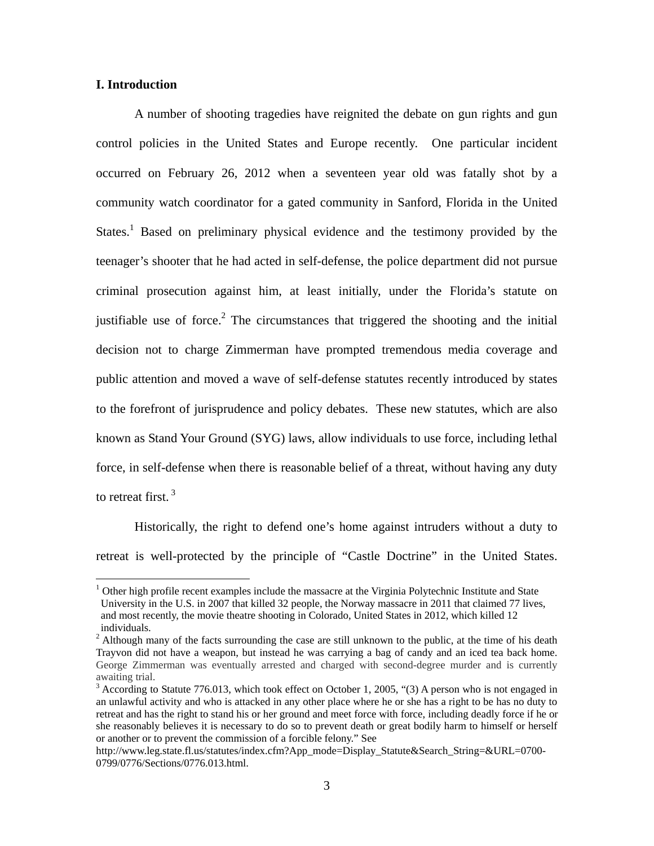# **I. Introduction**

 $\overline{a}$ 

A number of shooting tragedies have reignited the debate on gun rights and gun control policies in the United States and Europe recently. One particular incident occurred on February 26, 2012 when a seventeen year old was fatally shot by a community watch coordinator for a gated community in Sanford, Florida in the United States.<sup>1</sup> Based on preliminary physical evidence and the testimony provided by the teenager's shooter that he had acted in self-defense, the police department did not pursue criminal prosecution against him, at least initially, under the Florida's statute on justifiable use of force.<sup>2</sup> The circumstances that triggered the shooting and the initial decision not to charge Zimmerman have prompted tremendous media coverage and public attention and moved a wave of self-defense statutes recently introduced by states to the forefront of jurisprudence and policy debates. These new statutes, which are also known as Stand Your Ground (SYG) laws, allow individuals to use force, including lethal force, in self-defense when there is reasonable belief of a threat, without having any duty to retreat first.<sup>3</sup>

Historically, the right to defend one's home against intruders without a duty to retreat is well-protected by the principle of "Castle Doctrine" in the United States.

<sup>&</sup>lt;sup>1</sup> Other high profile recent examples include the massacre at the Virginia Polytechnic Institute and State University in the U.S. in 2007 that killed 32 people, the Norway massacre in 2011 that claimed 77 lives, and most recently, the movie theatre shooting in Colorado, United States in 2012, which killed 12 individuals.

 $2$  Although many of the facts surrounding the case are still unknown to the public, at the time of his death Trayvon did not have a weapon, but instead he was carrying a bag of candy and an iced tea back home. George Zimmerman was eventually arrested and charged with second-degree murder and is currently awaiting trial.

 $3$  According to Statute 776.013, which took effect on October 1, 2005, "(3) A person who is not engaged in an unlawful activity and who is attacked in any other place where he or she has a right to be has no duty to retreat and has the right to stand his or her ground and meet force with force, including deadly force if he or she reasonably believes it is necessary to do so to prevent death or great bodily harm to himself or herself or another or to prevent the commission of a forcible felony." See

http://www.leg.state.fl.us/statutes/index.cfm?App\_mode=Display\_Statute&Search\_String=&URL=0700- 0799/0776/Sections/0776.013.html.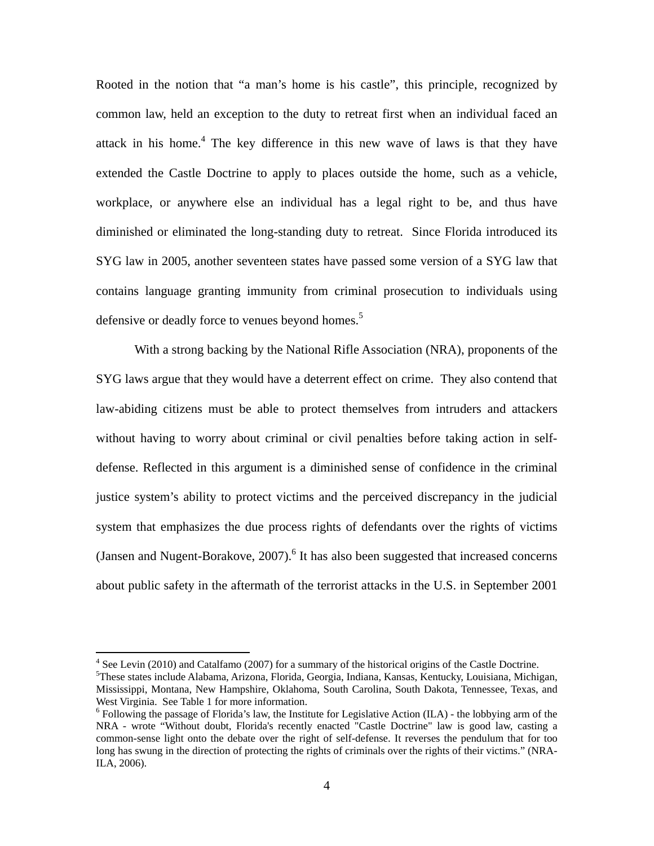Rooted in the notion that "a man's home is his castle", this principle, recognized by common law, held an exception to the duty to retreat first when an individual faced an attack in his home.<sup>4</sup> The key difference in this new wave of laws is that they have extended the Castle Doctrine to apply to places outside the home, such as a vehicle, workplace, or anywhere else an individual has a legal right to be, and thus have diminished or eliminated the long-standing duty to retreat. Since Florida introduced its SYG law in 2005, another seventeen states have passed some version of a SYG law that contains language granting immunity from criminal prosecution to individuals using defensive or deadly force to venues beyond homes.<sup>5</sup>

 With a strong backing by the National Rifle Association (NRA), proponents of the SYG laws argue that they would have a deterrent effect on crime. They also contend that law-abiding citizens must be able to protect themselves from intruders and attackers without having to worry about criminal or civil penalties before taking action in selfdefense. Reflected in this argument is a diminished sense of confidence in the criminal justice system's ability to protect victims and the perceived discrepancy in the judicial system that emphasizes the due process rights of defendants over the rights of victims (Jansen and Nugent-Borakove,  $2007$ ).<sup>6</sup> It has also been suggested that increased concerns about public safety in the aftermath of the terrorist attacks in the U.S. in September 2001

<sup>&</sup>lt;sup>4</sup> See Levin (2010) and Catalfamo (2007) for a summary of the historical origins of the Castle Doctrine.<br><sup>5</sup>These states include Alabama, Arizona, Florida, Georgia, Indiana, Kansas, Kantualzy, Louisiana, Michiel

These states include Alabama, Arizona, Florida, Georgia, Indiana, Kansas, Kentucky, Louisiana, Michigan, Mississippi, Montana, New Hampshire, Oklahoma, South Carolina, South Dakota, Tennessee, Texas, and West Virginia. See Table 1 for more information.

 $6$  Following the passage of Florida's law, the Institute for Legislative Action (ILA) - the lobbying arm of the NRA - wrote "Without doubt, Florida's recently enacted "Castle Doctrine" law is good law, casting a common-sense light onto the debate over the right of self-defense. It reverses the pendulum that for too long has swung in the direction of protecting the rights of criminals over the rights of their victims." (NRA-ILA, 2006).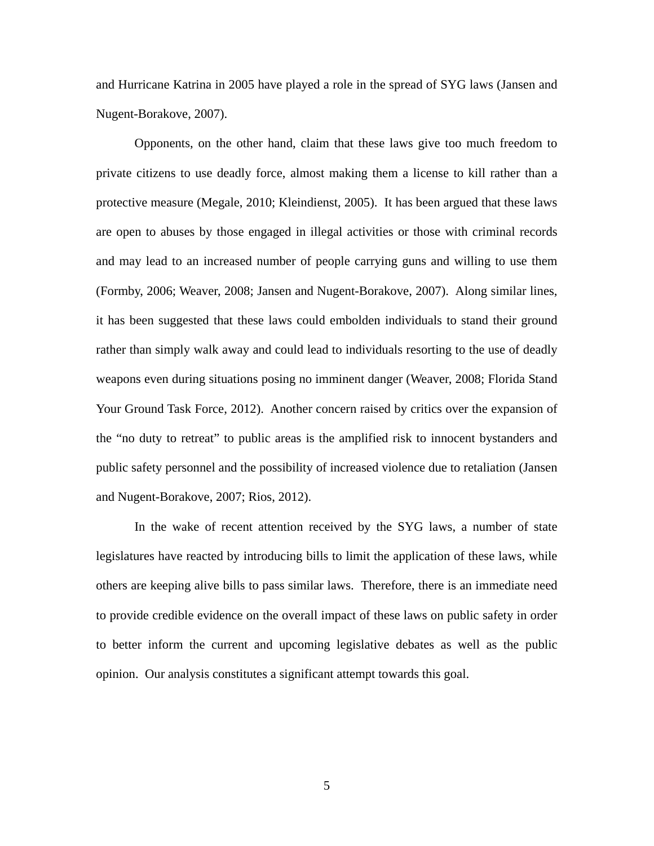and Hurricane Katrina in 2005 have played a role in the spread of SYG laws (Jansen and Nugent-Borakove, 2007).

Opponents, on the other hand, claim that these laws give too much freedom to private citizens to use deadly force, almost making them a license to kill rather than a protective measure (Megale, 2010; Kleindienst, 2005). It has been argued that these laws are open to abuses by those engaged in illegal activities or those with criminal records and may lead to an increased number of people carrying guns and willing to use them (Formby, 2006; Weaver, 2008; Jansen and Nugent-Borakove, 2007). Along similar lines, it has been suggested that these laws could embolden individuals to stand their ground rather than simply walk away and could lead to individuals resorting to the use of deadly weapons even during situations posing no imminent danger (Weaver, 2008; Florida Stand Your Ground Task Force, 2012). Another concern raised by critics over the expansion of the "no duty to retreat" to public areas is the amplified risk to innocent bystanders and public safety personnel and the possibility of increased violence due to retaliation (Jansen and Nugent-Borakove, 2007; Rios, 2012).

In the wake of recent attention received by the SYG laws, a number of state legislatures have reacted by introducing bills to limit the application of these laws, while others are keeping alive bills to pass similar laws. Therefore, there is an immediate need to provide credible evidence on the overall impact of these laws on public safety in order to better inform the current and upcoming legislative debates as well as the public opinion. Our analysis constitutes a significant attempt towards this goal.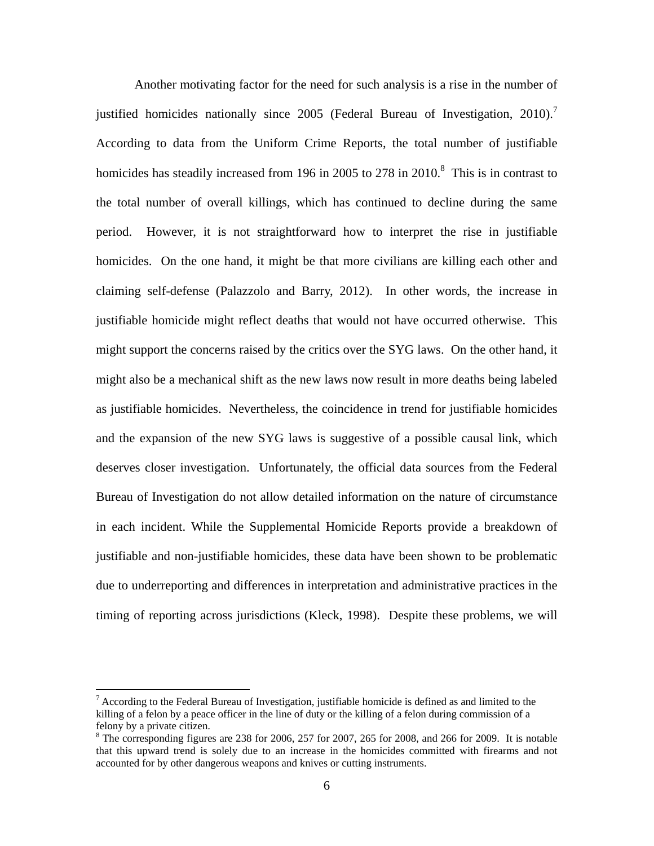Another motivating factor for the need for such analysis is a rise in the number of justified homicides nationally since 2005 (Federal Bureau of Investigation, 2010).<sup>7</sup> According to data from the Uniform Crime Reports, the total number of justifiable homicides has steadily increased from 196 in 2005 to 278 in 2010.<sup>8</sup> This is in contrast to the total number of overall killings, which has continued to decline during the same period. However, it is not straightforward how to interpret the rise in justifiable homicides. On the one hand, it might be that more civilians are killing each other and claiming self-defense (Palazzolo and Barry, 2012). In other words, the increase in justifiable homicide might reflect deaths that would not have occurred otherwise. This might support the concerns raised by the critics over the SYG laws. On the other hand, it might also be a mechanical shift as the new laws now result in more deaths being labeled as justifiable homicides. Nevertheless, the coincidence in trend for justifiable homicides and the expansion of the new SYG laws is suggestive of a possible causal link, which deserves closer investigation. Unfortunately, the official data sources from the Federal Bureau of Investigation do not allow detailed information on the nature of circumstance in each incident. While the Supplemental Homicide Reports provide a breakdown of justifiable and non-justifiable homicides, these data have been shown to be problematic due to underreporting and differences in interpretation and administrative practices in the timing of reporting across jurisdictions (Kleck, 1998). Despite these problems, we will

 $7$  According to the Federal Bureau of Investigation, justifiable homicide is defined as and limited to the killing of a felon by a peace officer in the line of duty or the killing of a felon during commission of a felony by a private citizen.

 $8$  The corresponding figures are 238 for 2006, 257 for 2007, 265 for 2008, and 266 for 2009. It is notable that this upward trend is solely due to an increase in the homicides committed with firearms and not accounted for by other dangerous weapons and knives or cutting instruments.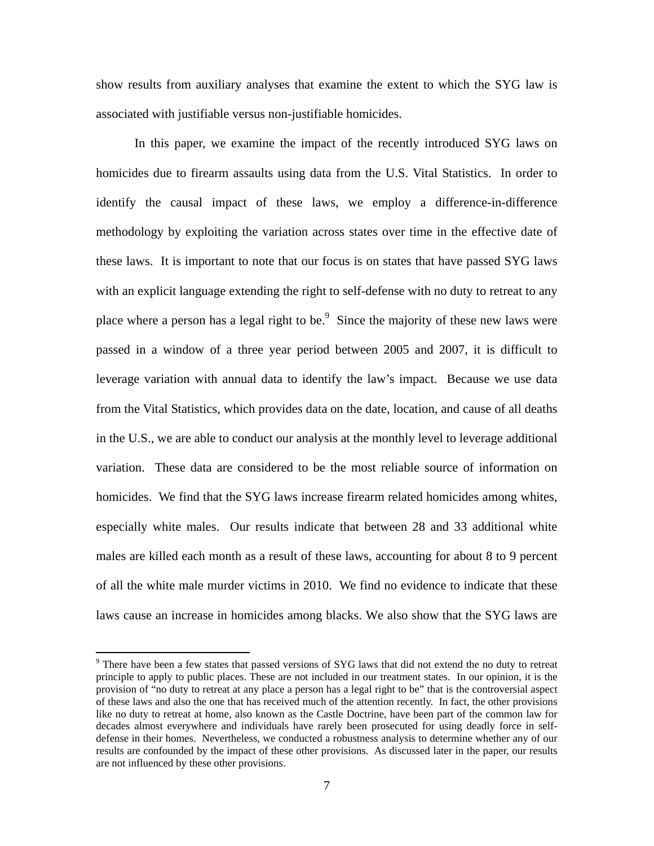show results from auxiliary analyses that examine the extent to which the SYG law is associated with justifiable versus non-justifiable homicides.

In this paper, we examine the impact of the recently introduced SYG laws on homicides due to firearm assaults using data from the U.S. Vital Statistics. In order to identify the causal impact of these laws, we employ a difference-in-difference methodology by exploiting the variation across states over time in the effective date of these laws. It is important to note that our focus is on states that have passed SYG laws with an explicit language extending the right to self-defense with no duty to retreat to any place where a person has a legal right to be. $9$  Since the majority of these new laws were passed in a window of a three year period between 2005 and 2007, it is difficult to leverage variation with annual data to identify the law's impact. Because we use data from the Vital Statistics, which provides data on the date, location, and cause of all deaths in the U.S., we are able to conduct our analysis at the monthly level to leverage additional variation. These data are considered to be the most reliable source of information on homicides. We find that the SYG laws increase firearm related homicides among whites, especially white males. Our results indicate that between 28 and 33 additional white males are killed each month as a result of these laws, accounting for about 8 to 9 percent of all the white male murder victims in 2010. We find no evidence to indicate that these laws cause an increase in homicides among blacks. We also show that the SYG laws are

1

<sup>&</sup>lt;sup>9</sup> There have been a few states that passed versions of SYG laws that did not extend the no duty to retreat principle to apply to public places. These are not included in our treatment states. In our opinion, it is the provision of "no duty to retreat at any place a person has a legal right to be" that is the controversial aspect of these laws and also the one that has received much of the attention recently. In fact, the other provisions like no duty to retreat at home, also known as the Castle Doctrine, have been part of the common law for decades almost everywhere and individuals have rarely been prosecuted for using deadly force in selfdefense in their homes. Nevertheless, we conducted a robustness analysis to determine whether any of our results are confounded by the impact of these other provisions. As discussed later in the paper, our results are not influenced by these other provisions.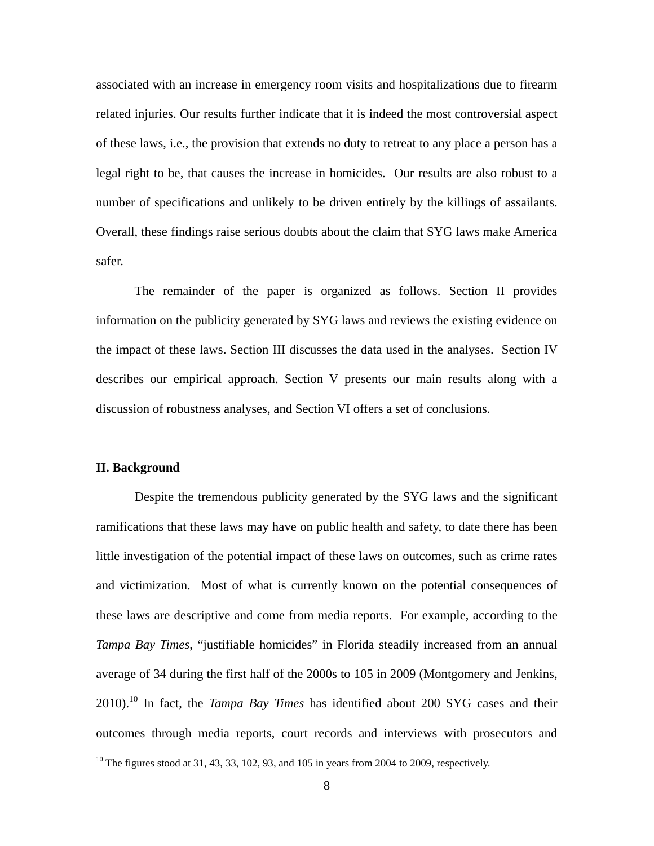associated with an increase in emergency room visits and hospitalizations due to firearm related injuries. Our results further indicate that it is indeed the most controversial aspect of these laws, i.e., the provision that extends no duty to retreat to any place a person has a legal right to be, that causes the increase in homicides. Our results are also robust to a number of specifications and unlikely to be driven entirely by the killings of assailants. Overall, these findings raise serious doubts about the claim that SYG laws make America safer.

The remainder of the paper is organized as follows. Section II provides information on the publicity generated by SYG laws and reviews the existing evidence on the impact of these laws. Section III discusses the data used in the analyses. Section IV describes our empirical approach. Section V presents our main results along with a discussion of robustness analyses, and Section VI offers a set of conclusions.

#### **II. Background**

 $\overline{a}$ 

Despite the tremendous publicity generated by the SYG laws and the significant ramifications that these laws may have on public health and safety, to date there has been little investigation of the potential impact of these laws on outcomes, such as crime rates and victimization. Most of what is currently known on the potential consequences of these laws are descriptive and come from media reports. For example, according to the *Tampa Bay Times*, "justifiable homicides" in Florida steadily increased from an annual average of 34 during the first half of the 2000s to 105 in 2009 (Montgomery and Jenkins, 2010).10 In fact, the *Tampa Bay Times* has identified about 200 SYG cases and their outcomes through media reports, court records and interviews with prosecutors and

<sup>&</sup>lt;sup>10</sup> The figures stood at 31, 43, 33, 102, 93, and 105 in years from 2004 to 2009, respectively.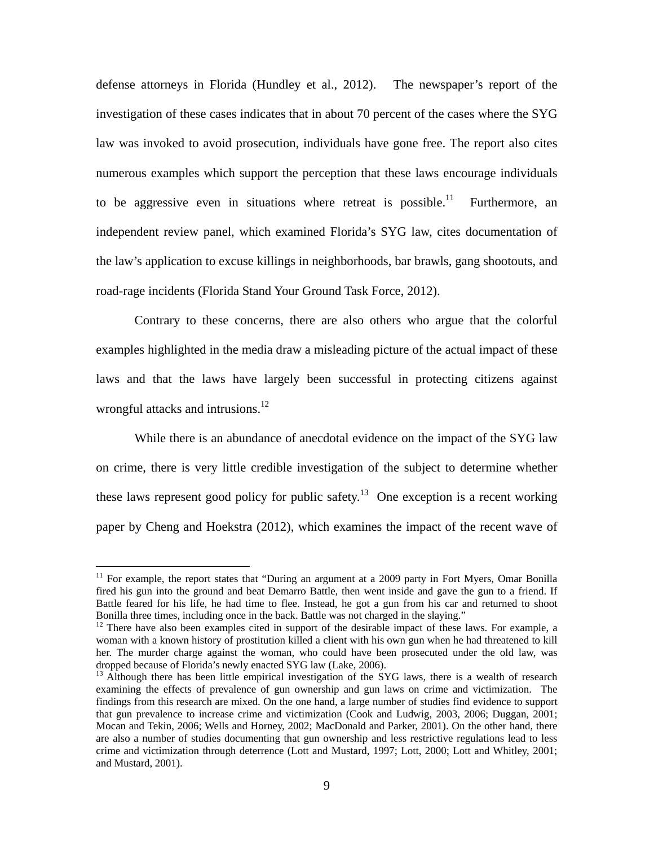defense attorneys in Florida (Hundley et al., 2012). The newspaper's report of the investigation of these cases indicates that in about 70 percent of the cases where the SYG law was invoked to avoid prosecution, individuals have gone free. The report also cites numerous examples which support the perception that these laws encourage individuals to be aggressive even in situations where retreat is possible.<sup>11</sup> Furthermore, an independent review panel, which examined Florida's SYG law, cites documentation of the law's application to excuse killings in neighborhoods, bar brawls, gang shootouts, and road-rage incidents (Florida Stand Your Ground Task Force, 2012).

Contrary to these concerns, there are also others who argue that the colorful examples highlighted in the media draw a misleading picture of the actual impact of these laws and that the laws have largely been successful in protecting citizens against wrongful attacks and intrusions.<sup>12</sup>

While there is an abundance of anecdotal evidence on the impact of the SYG law on crime, there is very little credible investigation of the subject to determine whether these laws represent good policy for public safety.<sup>13</sup> One exception is a recent working paper by Cheng and Hoekstra (2012), which examines the impact of the recent wave of

<sup>&</sup>lt;sup>11</sup> For example, the report states that "During an argument at a 2009 party in Fort Myers, Omar Bonilla fired his gun into the ground and beat Demarro Battle, then went inside and gave the gun to a friend. If Battle feared for his life, he had time to flee. Instead, he got a gun from his car and returned to shoot Bonilla three times, including once in the back. Battle was not charged in the slaying."

<sup>&</sup>lt;sup>12</sup> There have also been examples cited in support of the desirable impact of these laws. For example, a woman with a known history of prostitution killed a client with his own gun when he had threatened to kill her. The murder charge against the woman, who could have been prosecuted under the old law, was dropped because of Florida's newly enacted SYG law (Lake, 2006).

 $<sup>13</sup>$  Although there has been little empirical investigation of the SYG laws, there is a wealth of research</sup> examining the effects of prevalence of gun ownership and gun laws on crime and victimization. The findings from this research are mixed. On the one hand, a large number of studies find evidence to support that gun prevalence to increase crime and victimization (Cook and Ludwig, 2003, 2006; Duggan, 2001; Mocan and Tekin, 2006; Wells and Horney, 2002; MacDonald and Parker, 2001). On the other hand, there are also a number of studies documenting that gun ownership and less restrictive regulations lead to less crime and victimization through deterrence (Lott and Mustard, 1997; Lott, 2000; Lott and Whitley, 2001; and Mustard, 2001).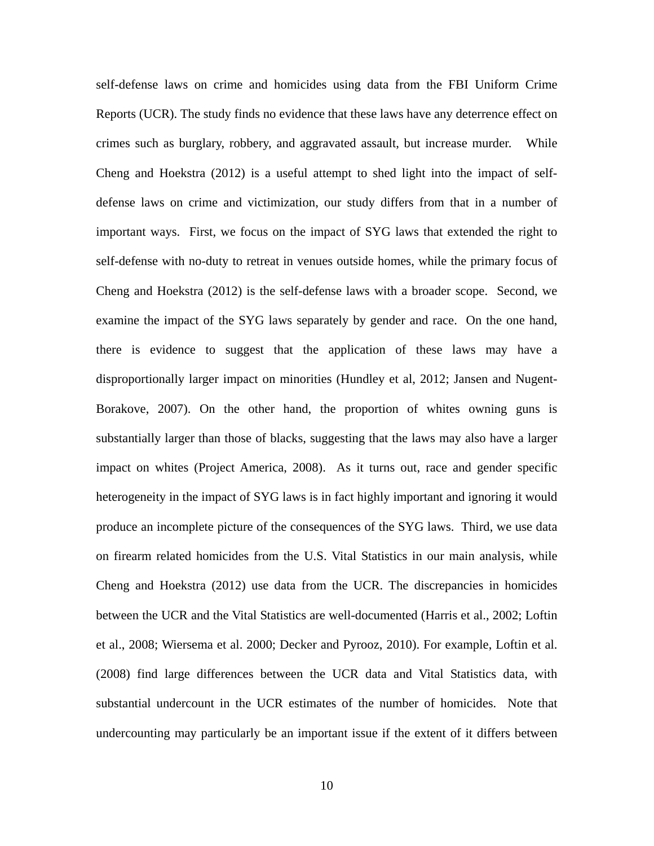self-defense laws on crime and homicides using data from the FBI Uniform Crime Reports (UCR). The study finds no evidence that these laws have any deterrence effect on crimes such as burglary, robbery, and aggravated assault, but increase murder. While Cheng and Hoekstra (2012) is a useful attempt to shed light into the impact of selfdefense laws on crime and victimization, our study differs from that in a number of important ways. First, we focus on the impact of SYG laws that extended the right to self-defense with no-duty to retreat in venues outside homes, while the primary focus of Cheng and Hoekstra (2012) is the self-defense laws with a broader scope. Second, we examine the impact of the SYG laws separately by gender and race. On the one hand, there is evidence to suggest that the application of these laws may have a disproportionally larger impact on minorities (Hundley et al, 2012; Jansen and Nugent-Borakove, 2007). On the other hand, the proportion of whites owning guns is substantially larger than those of blacks, suggesting that the laws may also have a larger impact on whites (Project America, 2008). As it turns out, race and gender specific heterogeneity in the impact of SYG laws is in fact highly important and ignoring it would produce an incomplete picture of the consequences of the SYG laws. Third, we use data on firearm related homicides from the U.S. Vital Statistics in our main analysis, while Cheng and Hoekstra (2012) use data from the UCR. The discrepancies in homicides between the UCR and the Vital Statistics are well-documented (Harris et al., 2002; Loftin et al., 2008; Wiersema et al. 2000; Decker and Pyrooz, 2010). For example, Loftin et al. (2008) find large differences between the UCR data and Vital Statistics data, with substantial undercount in the UCR estimates of the number of homicides. Note that undercounting may particularly be an important issue if the extent of it differs between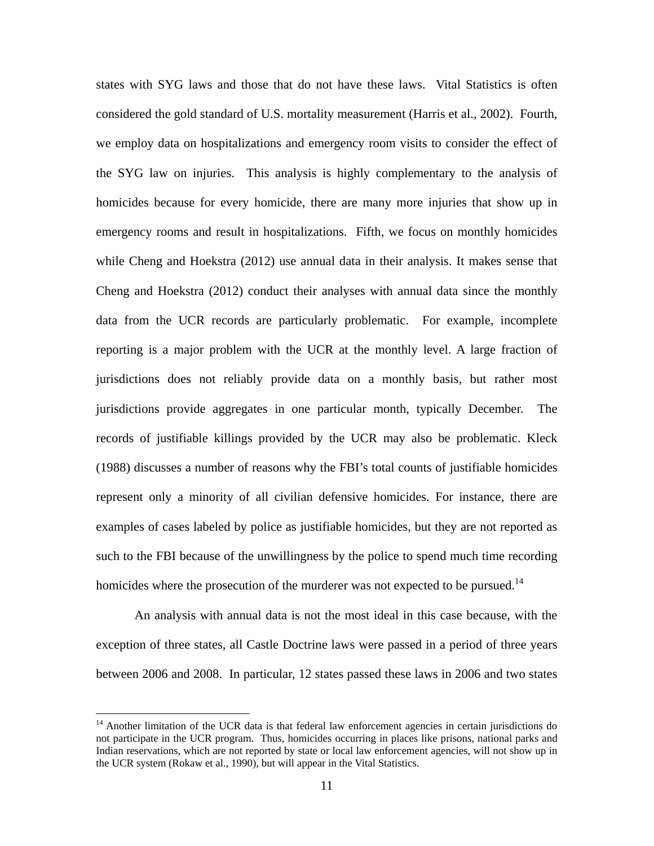states with SYG laws and those that do not have these laws. Vital Statistics is often considered the gold standard of U.S. mortality measurement (Harris et al., 2002). Fourth, we employ data on hospitalizations and emergency room visits to consider the effect of the SYG law on injuries. This analysis is highly complementary to the analysis of homicides because for every homicide, there are many more injuries that show up in emergency rooms and result in hospitalizations. Fifth, we focus on monthly homicides while Cheng and Hoekstra (2012) use annual data in their analysis. It makes sense that Cheng and Hoekstra (2012) conduct their analyses with annual data since the monthly data from the UCR records are particularly problematic. For example, incomplete reporting is a major problem with the UCR at the monthly level. A large fraction of jurisdictions does not reliably provide data on a monthly basis, but rather most jurisdictions provide aggregates in one particular month, typically December. The records of justifiable killings provided by the UCR may also be problematic. Kleck (1988) discusses a number of reasons why the FBI's total counts of justifiable homicides represent only a minority of all civilian defensive homicides. For instance, there are examples of cases labeled by police as justifiable homicides, but they are not reported as such to the FBI because of the unwillingness by the police to spend much time recording homicides where the prosecution of the murderer was not expected to be pursued.<sup>14</sup>

An analysis with annual data is not the most ideal in this case because, with the exception of three states, all Castle Doctrine laws were passed in a period of three years between 2006 and 2008. In particular, 12 states passed these laws in 2006 and two states

<sup>&</sup>lt;sup>14</sup> Another limitation of the UCR data is that federal law enforcement agencies in certain jurisdictions do not participate in the UCR program. Thus, homicides occurring in places like prisons, national parks and Indian reservations, which are not reported by state or local law enforcement agencies, will not show up in the UCR system (Rokaw et al., 1990), but will appear in the Vital Statistics.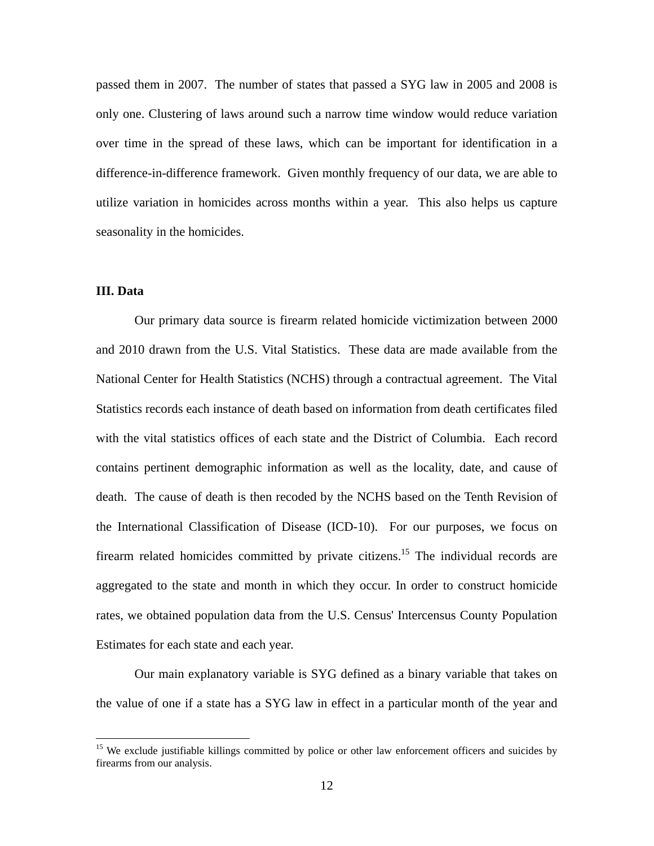passed them in 2007. The number of states that passed a SYG law in 2005 and 2008 is only one. Clustering of laws around such a narrow time window would reduce variation over time in the spread of these laws, which can be important for identification in a difference-in-difference framework. Given monthly frequency of our data, we are able to utilize variation in homicides across months within a year. This also helps us capture seasonality in the homicides.

# **III. Data**

 $\overline{a}$ 

Our primary data source is firearm related homicide victimization between 2000 and 2010 drawn from the U.S. Vital Statistics. These data are made available from the National Center for Health Statistics (NCHS) through a contractual agreement. The Vital Statistics records each instance of death based on information from death certificates filed with the vital statistics offices of each state and the District of Columbia. Each record contains pertinent demographic information as well as the locality, date, and cause of death. The cause of death is then recoded by the NCHS based on the Tenth Revision of the International Classification of Disease (ICD-10). For our purposes, we focus on firearm related homicides committed by private citizens.<sup>15</sup> The individual records are aggregated to the state and month in which they occur. In order to construct homicide rates, we obtained population data from the U.S. Census' Intercensus County Population Estimates for each state and each year.

Our main explanatory variable is SYG defined as a binary variable that takes on the value of one if a state has a SYG law in effect in a particular month of the year and

<sup>&</sup>lt;sup>15</sup> We exclude justifiable killings committed by police or other law enforcement officers and suicides by firearms from our analysis.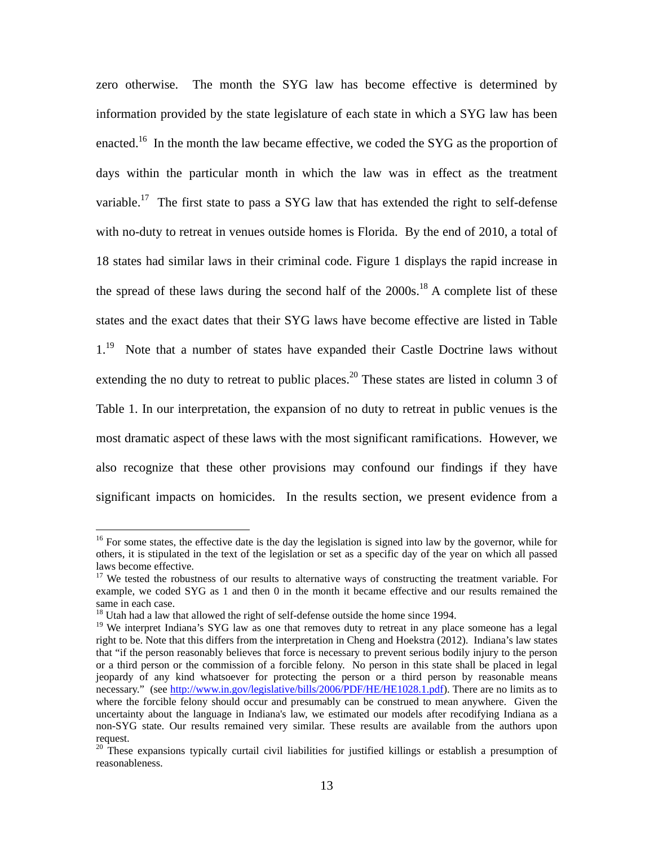zero otherwise. The month the SYG law has become effective is determined by information provided by the state legislature of each state in which a SYG law has been enacted.<sup>16</sup> In the month the law became effective, we coded the SYG as the proportion of days within the particular month in which the law was in effect as the treatment variable.<sup>17</sup> The first state to pass a SYG law that has extended the right to self-defense with no-duty to retreat in venues outside homes is Florida. By the end of 2010, a total of 18 states had similar laws in their criminal code. Figure 1 displays the rapid increase in the spread of these laws during the second half of the  $2000s$ <sup>18</sup> A complete list of these states and the exact dates that their SYG laws have become effective are listed in Table  $1<sup>19</sup>$  Note that a number of states have expanded their Castle Doctrine laws without extending the no duty to retreat to public places.<sup>20</sup> These states are listed in column 3 of Table 1. In our interpretation, the expansion of no duty to retreat in public venues is the most dramatic aspect of these laws with the most significant ramifications. However, we also recognize that these other provisions may confound our findings if they have significant impacts on homicides. In the results section, we present evidence from a

<sup>&</sup>lt;sup>16</sup> For some states, the effective date is the day the legislation is signed into law by the governor, while for others, it is stipulated in the text of the legislation or set as a specific day of the year on which all passed laws become effective.

<sup>&</sup>lt;sup>17</sup> We tested the robustness of our results to alternative ways of constructing the treatment variable. For example, we coded SYG as 1 and then 0 in the month it became effective and our results remained the same in each case.

<sup>&</sup>lt;sup>18</sup> Utah had a law that allowed the right of self-defense outside the home since 1994.

<sup>&</sup>lt;sup>19</sup> We interpret Indiana's SYG law as one that removes duty to retreat in any place someone has a legal right to be. Note that this differs from the interpretation in Cheng and Hoekstra (2012). Indiana's law states that "if the person reasonably believes that force is necessary to prevent serious bodily injury to the person or a third person or the commission of a forcible felony. No person in this state shall be placed in legal jeopardy of any kind whatsoever for protecting the person or a third person by reasonable means necessary." (see http://www.in.gov/legislative/bills/2006/PDF/HE/HE1028.1.pdf). There are no limits as to where the forcible felony should occur and presumably can be construed to mean anywhere. Given the uncertainty about the language in Indiana's law, we estimated our models after recodifying Indiana as a non-SYG state. Our results remained very similar. These results are available from the authors upon request.

<sup>&</sup>lt;sup>20</sup> These expansions typically curtail civil liabilities for justified killings or establish a presumption of reasonableness.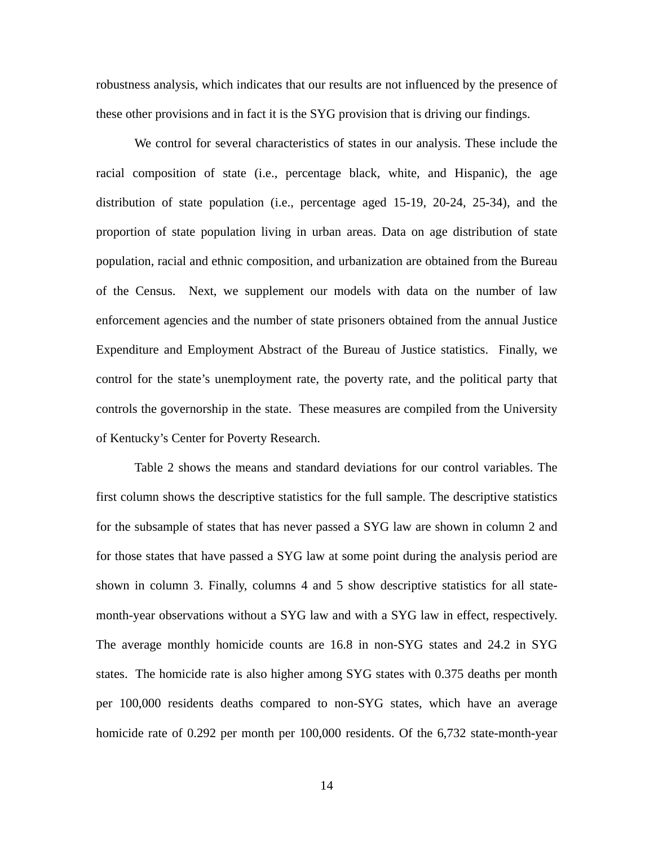robustness analysis, which indicates that our results are not influenced by the presence of these other provisions and in fact it is the SYG provision that is driving our findings.

We control for several characteristics of states in our analysis. These include the racial composition of state (i.e., percentage black, white, and Hispanic), the age distribution of state population (i.e., percentage aged 15-19, 20-24, 25-34), and the proportion of state population living in urban areas. Data on age distribution of state population, racial and ethnic composition, and urbanization are obtained from the Bureau of the Census. Next, we supplement our models with data on the number of law enforcement agencies and the number of state prisoners obtained from the annual Justice Expenditure and Employment Abstract of the Bureau of Justice statistics. Finally, we control for the state's unemployment rate, the poverty rate, and the political party that controls the governorship in the state. These measures are compiled from the University of Kentucky's Center for Poverty Research.

Table 2 shows the means and standard deviations for our control variables. The first column shows the descriptive statistics for the full sample. The descriptive statistics for the subsample of states that has never passed a SYG law are shown in column 2 and for those states that have passed a SYG law at some point during the analysis period are shown in column 3. Finally, columns 4 and 5 show descriptive statistics for all statemonth-year observations without a SYG law and with a SYG law in effect, respectively. The average monthly homicide counts are 16.8 in non-SYG states and 24.2 in SYG states. The homicide rate is also higher among SYG states with 0.375 deaths per month per 100,000 residents deaths compared to non-SYG states, which have an average homicide rate of 0.292 per month per 100,000 residents. Of the 6,732 state-month-year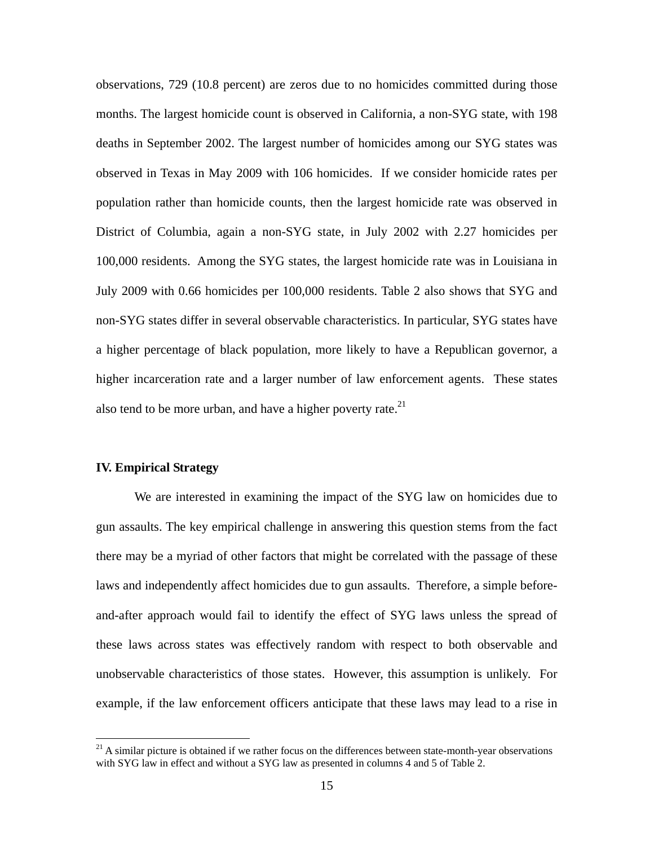observations, 729 (10.8 percent) are zeros due to no homicides committed during those months. The largest homicide count is observed in California, a non-SYG state, with 198 deaths in September 2002. The largest number of homicides among our SYG states was observed in Texas in May 2009 with 106 homicides. If we consider homicide rates per population rather than homicide counts, then the largest homicide rate was observed in District of Columbia, again a non-SYG state, in July 2002 with 2.27 homicides per 100,000 residents. Among the SYG states, the largest homicide rate was in Louisiana in July 2009 with 0.66 homicides per 100,000 residents. Table 2 also shows that SYG and non-SYG states differ in several observable characteristics. In particular, SYG states have a higher percentage of black population, more likely to have a Republican governor, a higher incarceration rate and a larger number of law enforcement agents. These states also tend to be more urban, and have a higher poverty rate. $^{21}$ 

#### **IV. Empirical Strategy**

 $\overline{a}$ 

We are interested in examining the impact of the SYG law on homicides due to gun assaults. The key empirical challenge in answering this question stems from the fact there may be a myriad of other factors that might be correlated with the passage of these laws and independently affect homicides due to gun assaults. Therefore, a simple beforeand-after approach would fail to identify the effect of SYG laws unless the spread of these laws across states was effectively random with respect to both observable and unobservable characteristics of those states. However, this assumption is unlikely. For example, if the law enforcement officers anticipate that these laws may lead to a rise in

 $21$  A similar picture is obtained if we rather focus on the differences between state-month-year observations with SYG law in effect and without a SYG law as presented in columns 4 and 5 of Table 2.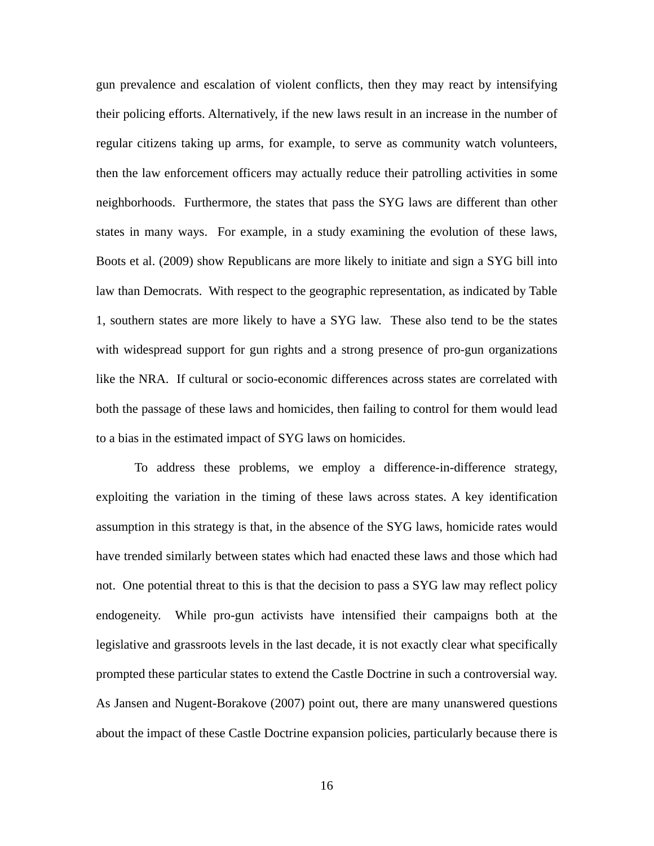gun prevalence and escalation of violent conflicts, then they may react by intensifying their policing efforts. Alternatively, if the new laws result in an increase in the number of regular citizens taking up arms, for example, to serve as community watch volunteers, then the law enforcement officers may actually reduce their patrolling activities in some neighborhoods. Furthermore, the states that pass the SYG laws are different than other states in many ways. For example, in a study examining the evolution of these laws, Boots et al. (2009) show Republicans are more likely to initiate and sign a SYG bill into law than Democrats. With respect to the geographic representation, as indicated by Table 1, southern states are more likely to have a SYG law. These also tend to be the states with widespread support for gun rights and a strong presence of pro-gun organizations like the NRA. If cultural or socio-economic differences across states are correlated with both the passage of these laws and homicides, then failing to control for them would lead to a bias in the estimated impact of SYG laws on homicides.

 To address these problems, we employ a difference-in-difference strategy, exploiting the variation in the timing of these laws across states. A key identification assumption in this strategy is that, in the absence of the SYG laws, homicide rates would have trended similarly between states which had enacted these laws and those which had not. One potential threat to this is that the decision to pass a SYG law may reflect policy endogeneity. While pro-gun activists have intensified their campaigns both at the legislative and grassroots levels in the last decade, it is not exactly clear what specifically prompted these particular states to extend the Castle Doctrine in such a controversial way. As Jansen and Nugent-Borakove (2007) point out, there are many unanswered questions about the impact of these Castle Doctrine expansion policies, particularly because there is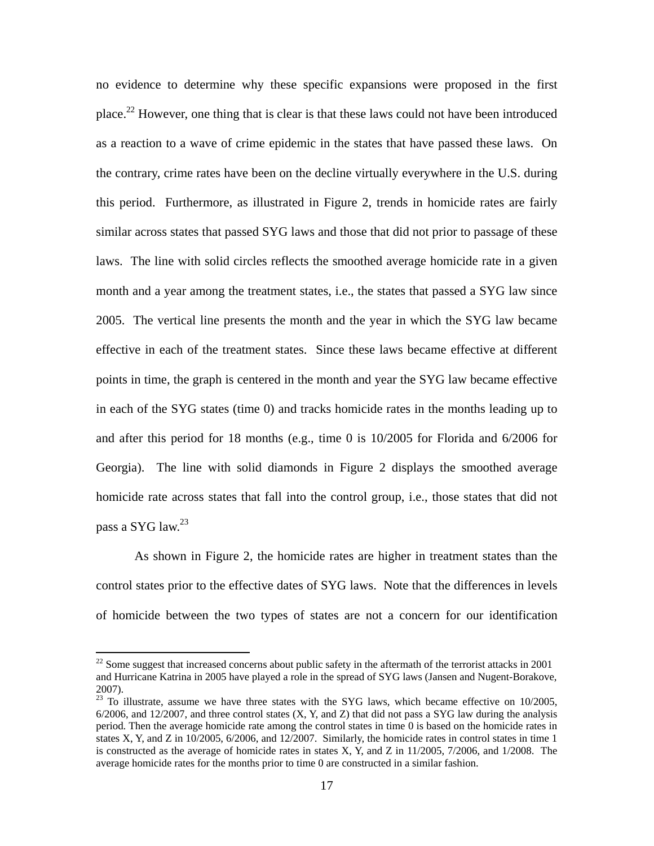no evidence to determine why these specific expansions were proposed in the first place.<sup>22</sup> However, one thing that is clear is that these laws could not have been introduced as a reaction to a wave of crime epidemic in the states that have passed these laws. On the contrary, crime rates have been on the decline virtually everywhere in the U.S. during this period. Furthermore, as illustrated in Figure 2, trends in homicide rates are fairly similar across states that passed SYG laws and those that did not prior to passage of these laws. The line with solid circles reflects the smoothed average homicide rate in a given month and a year among the treatment states, i.e., the states that passed a SYG law since 2005. The vertical line presents the month and the year in which the SYG law became effective in each of the treatment states. Since these laws became effective at different points in time, the graph is centered in the month and year the SYG law became effective in each of the SYG states (time 0) and tracks homicide rates in the months leading up to and after this period for 18 months (e.g., time 0 is 10/2005 for Florida and 6/2006 for Georgia). The line with solid diamonds in Figure 2 displays the smoothed average homicide rate across states that fall into the control group, i.e., those states that did not pass a SYG law.<sup>23</sup>

As shown in Figure 2, the homicide rates are higher in treatment states than the control states prior to the effective dates of SYG laws. Note that the differences in levels of homicide between the two types of states are not a concern for our identification

 $22$  Some suggest that increased concerns about public safety in the aftermath of the terrorist attacks in 2001 and Hurricane Katrina in 2005 have played a role in the spread of SYG laws (Jansen and Nugent-Borakove, 2007).

 $23$  To illustrate, assume we have three states with the SYG laws, which became effective on 10/2005,  $6/2006$ , and  $12/2007$ , and three control states  $(X, Y, \text{ and } Z)$  that did not pass a SYG law during the analysis period. Then the average homicide rate among the control states in time 0 is based on the homicide rates in states X, Y, and Z in 10/2005, 6/2006, and 12/2007. Similarly, the homicide rates in control states in time 1 is constructed as the average of homicide rates in states X, Y, and Z in 11/2005, 7/2006, and 1/2008. The average homicide rates for the months prior to time 0 are constructed in a similar fashion.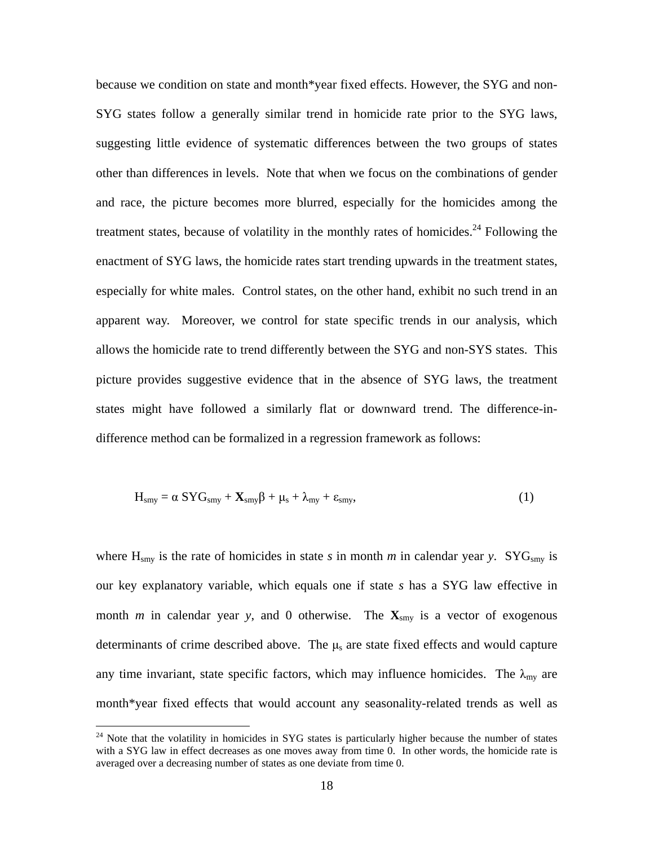because we condition on state and month\*year fixed effects. However, the SYG and non-SYG states follow a generally similar trend in homicide rate prior to the SYG laws, suggesting little evidence of systematic differences between the two groups of states other than differences in levels. Note that when we focus on the combinations of gender and race, the picture becomes more blurred, especially for the homicides among the treatment states, because of volatility in the monthly rates of homicides.<sup>24</sup> Following the enactment of SYG laws, the homicide rates start trending upwards in the treatment states, especially for white males. Control states, on the other hand, exhibit no such trend in an apparent way. Moreover, we control for state specific trends in our analysis, which allows the homicide rate to trend differently between the SYG and non-SYS states. This picture provides suggestive evidence that in the absence of SYG laws, the treatment states might have followed a similarly flat or downward trend. The difference-indifference method can be formalized in a regression framework as follows:

$$
H_{\rm smy} = \alpha \, SYG_{\rm smy} + \mathbf{X}_{\rm smy}\beta + \mu_{\rm s} + \lambda_{\rm my} + \varepsilon_{\rm smy},\tag{1}
$$

where  $H_{\text{smy}}$  is the rate of homicides in state *s* in month *m* in calendar year *y*. SYG<sub>smy</sub> is our key explanatory variable, which equals one if state *s* has a SYG law effective in month *m* in calendar year *y*, and 0 otherwise. The  $\mathbf{X}_{\text{smy}}$  is a vector of exogenous determinants of crime described above. The  $\mu_s$  are state fixed effects and would capture any time invariant, state specific factors, which may influence homicides. The  $\lambda_{\text{my}}$  are month\*year fixed effects that would account any seasonality-related trends as well as

1

<sup>&</sup>lt;sup>24</sup> Note that the volatility in homicides in SYG states is particularly higher because the number of states with a SYG law in effect decreases as one moves away from time 0. In other words, the homicide rate is averaged over a decreasing number of states as one deviate from time 0.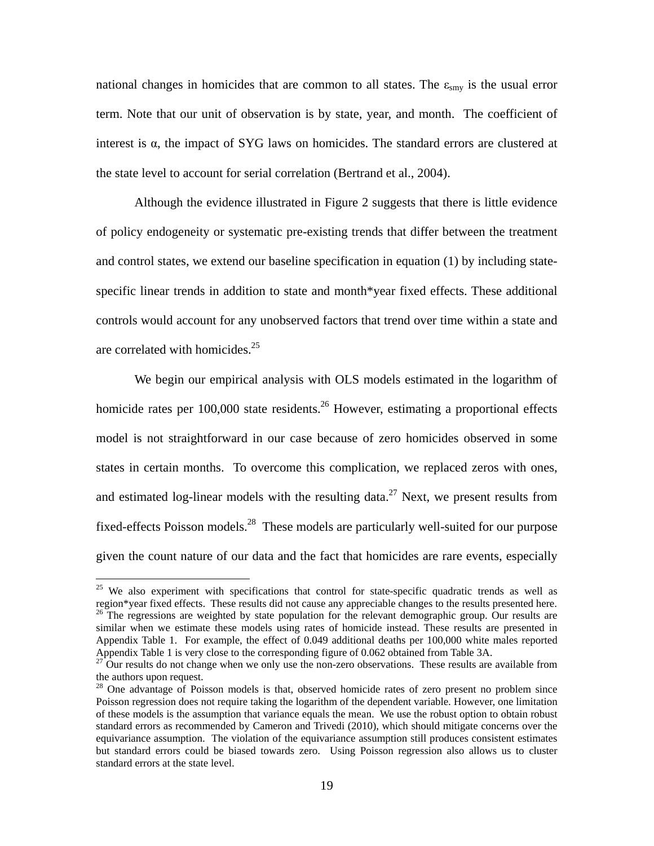national changes in homicides that are common to all states. The  $\varepsilon_{\rm smy}$  is the usual error term. Note that our unit of observation is by state, year, and month. The coefficient of interest is  $\alpha$ , the impact of SYG laws on homicides. The standard errors are clustered at the state level to account for serial correlation (Bertrand et al., 2004).

Although the evidence illustrated in Figure 2 suggests that there is little evidence of policy endogeneity or systematic pre-existing trends that differ between the treatment and control states, we extend our baseline specification in equation (1) by including statespecific linear trends in addition to state and month\*year fixed effects. These additional controls would account for any unobserved factors that trend over time within a state and are correlated with homicides. $25$ 

We begin our empirical analysis with OLS models estimated in the logarithm of homicide rates per 100,000 state residents.<sup>26</sup> However, estimating a proportional effects model is not straightforward in our case because of zero homicides observed in some states in certain months. To overcome this complication, we replaced zeros with ones, and estimated log-linear models with the resulting data.<sup>27</sup> Next, we present results from fixed-effects Poisson models.28 These models are particularly well-suited for our purpose given the count nature of our data and the fact that homicides are rare events, especially

<sup>&</sup>lt;sup>25</sup> We also experiment with specifications that control for state-specific quadratic trends as well as region\*year fixed effects. These results did not cause any appreciable changes to the results presented here.  $26$  The regressions are weighted by state population for the relevant demographic group. Our results are similar when we estimate these models using rates of homicide instead. These results are presented in Appendix Table 1. For example, the effect of 0.049 additional deaths per 100,000 white males reported Appendix Table 1 is very close to the corresponding figure of 0.062 obtained from Table 3A.

 $27$  Our results do not change when we only use the non-zero observations. These results are available from the authors upon request.

 $28$  One advantage of Poisson models is that, observed homicide rates of zero present no problem since Poisson regression does not require taking the logarithm of the dependent variable. However, one limitation of these models is the assumption that variance equals the mean. We use the robust option to obtain robust standard errors as recommended by Cameron and Trivedi (2010), which should mitigate concerns over the equivariance assumption. The violation of the equivariance assumption still produces consistent estimates but standard errors could be biased towards zero. Using Poisson regression also allows us to cluster standard errors at the state level.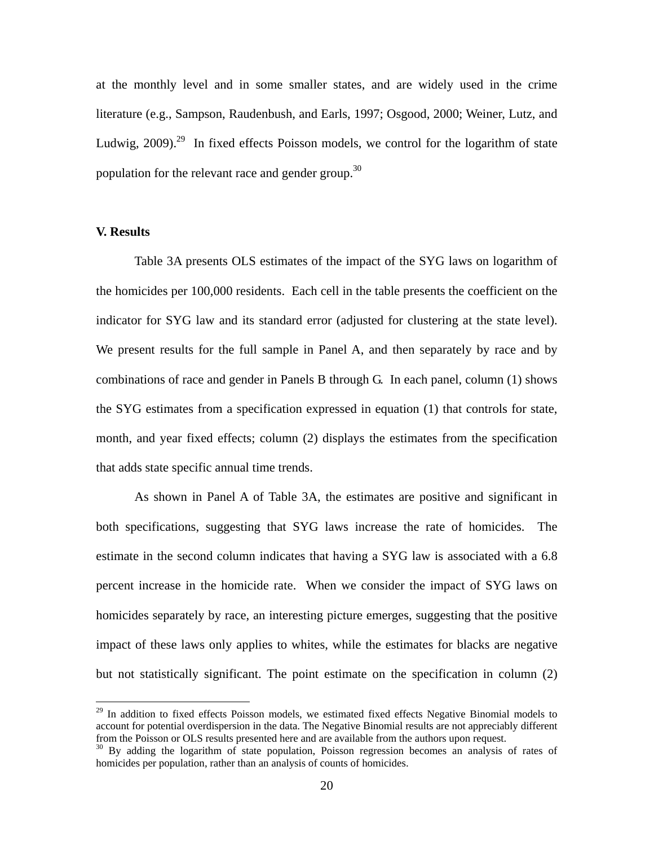at the monthly level and in some smaller states, and are widely used in the crime literature (e.g., Sampson, Raudenbush, and Earls, 1997; Osgood, 2000; Weiner, Lutz, and Ludwig, 2009).<sup>29</sup> In fixed effects Poisson models, we control for the logarithm of state population for the relevant race and gender group.<sup>30</sup>

# **V. Results**

1

 Table 3A presents OLS estimates of the impact of the SYG laws on logarithm of the homicides per 100,000 residents. Each cell in the table presents the coefficient on the indicator for SYG law and its standard error (adjusted for clustering at the state level). We present results for the full sample in Panel A, and then separately by race and by combinations of race and gender in Panels B through G. In each panel, column (1) shows the SYG estimates from a specification expressed in equation (1) that controls for state, month, and year fixed effects; column (2) displays the estimates from the specification that adds state specific annual time trends.

 As shown in Panel A of Table 3A, the estimates are positive and significant in both specifications, suggesting that SYG laws increase the rate of homicides. The estimate in the second column indicates that having a SYG law is associated with a 6.8 percent increase in the homicide rate. When we consider the impact of SYG laws on homicides separately by race, an interesting picture emerges, suggesting that the positive impact of these laws only applies to whites, while the estimates for blacks are negative but not statistically significant. The point estimate on the specification in column (2)

<sup>&</sup>lt;sup>29</sup> In addition to fixed effects Poisson models, we estimated fixed effects Negative Binomial models to account for potential overdispersion in the data. The Negative Binomial results are not appreciably different<br>from the Poisson or OLS results presented here and are available from the authors upon request.

<sup>&</sup>lt;sup>30</sup> By adding the logarithm of state population, Poisson regression becomes an analysis of rates of homicides per population, rather than an analysis of counts of homicides.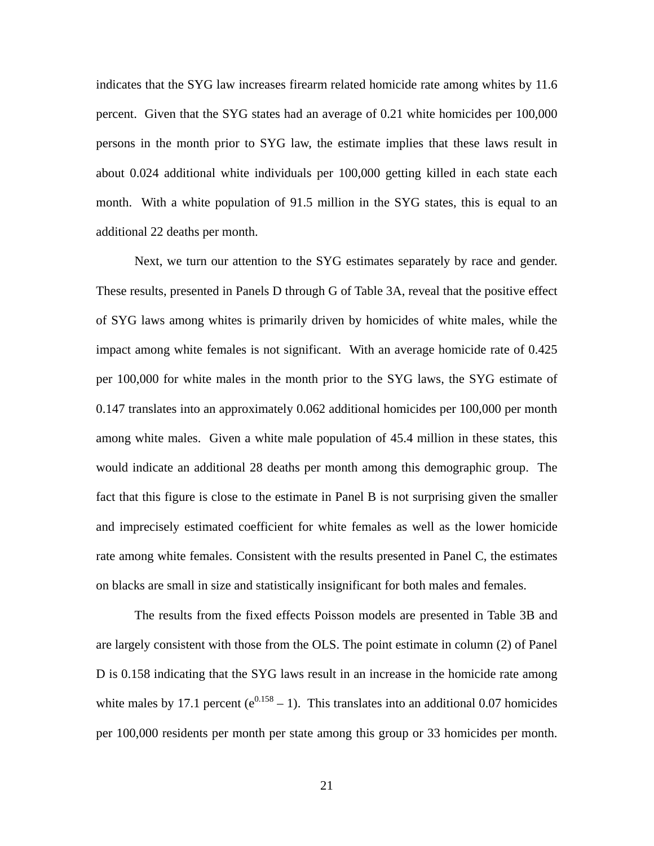indicates that the SYG law increases firearm related homicide rate among whites by 11.6 percent. Given that the SYG states had an average of 0.21 white homicides per 100,000 persons in the month prior to SYG law, the estimate implies that these laws result in about 0.024 additional white individuals per 100,000 getting killed in each state each month. With a white population of 91.5 million in the SYG states, this is equal to an additional 22 deaths per month.

Next, we turn our attention to the SYG estimates separately by race and gender. These results, presented in Panels D through G of Table 3A, reveal that the positive effect of SYG laws among whites is primarily driven by homicides of white males, while the impact among white females is not significant. With an average homicide rate of 0.425 per 100,000 for white males in the month prior to the SYG laws, the SYG estimate of 0.147 translates into an approximately 0.062 additional homicides per 100,000 per month among white males. Given a white male population of 45.4 million in these states, this would indicate an additional 28 deaths per month among this demographic group. The fact that this figure is close to the estimate in Panel B is not surprising given the smaller and imprecisely estimated coefficient for white females as well as the lower homicide rate among white females. Consistent with the results presented in Panel C, the estimates on blacks are small in size and statistically insignificant for both males and females.

The results from the fixed effects Poisson models are presented in Table 3B and are largely consistent with those from the OLS. The point estimate in column (2) of Panel D is 0.158 indicating that the SYG laws result in an increase in the homicide rate among white males by 17.1 percent ( $e^{0.158} - 1$ ). This translates into an additional 0.07 homicides per 100,000 residents per month per state among this group or 33 homicides per month.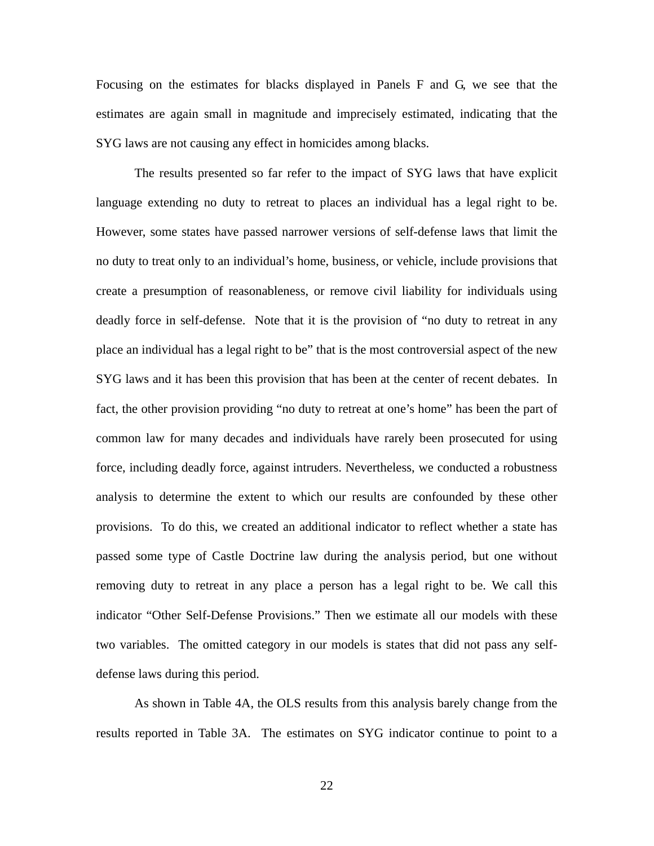Focusing on the estimates for blacks displayed in Panels F and G, we see that the estimates are again small in magnitude and imprecisely estimated, indicating that the SYG laws are not causing any effect in homicides among blacks.

 The results presented so far refer to the impact of SYG laws that have explicit language extending no duty to retreat to places an individual has a legal right to be. However, some states have passed narrower versions of self-defense laws that limit the no duty to treat only to an individual's home, business, or vehicle, include provisions that create a presumption of reasonableness, or remove civil liability for individuals using deadly force in self-defense. Note that it is the provision of "no duty to retreat in any place an individual has a legal right to be" that is the most controversial aspect of the new SYG laws and it has been this provision that has been at the center of recent debates. In fact, the other provision providing "no duty to retreat at one's home" has been the part of common law for many decades and individuals have rarely been prosecuted for using force, including deadly force, against intruders. Nevertheless, we conducted a robustness analysis to determine the extent to which our results are confounded by these other provisions. To do this, we created an additional indicator to reflect whether a state has passed some type of Castle Doctrine law during the analysis period, but one without removing duty to retreat in any place a person has a legal right to be. We call this indicator "Other Self-Defense Provisions." Then we estimate all our models with these two variables. The omitted category in our models is states that did not pass any selfdefense laws during this period.

As shown in Table 4A, the OLS results from this analysis barely change from the results reported in Table 3A. The estimates on SYG indicator continue to point to a

22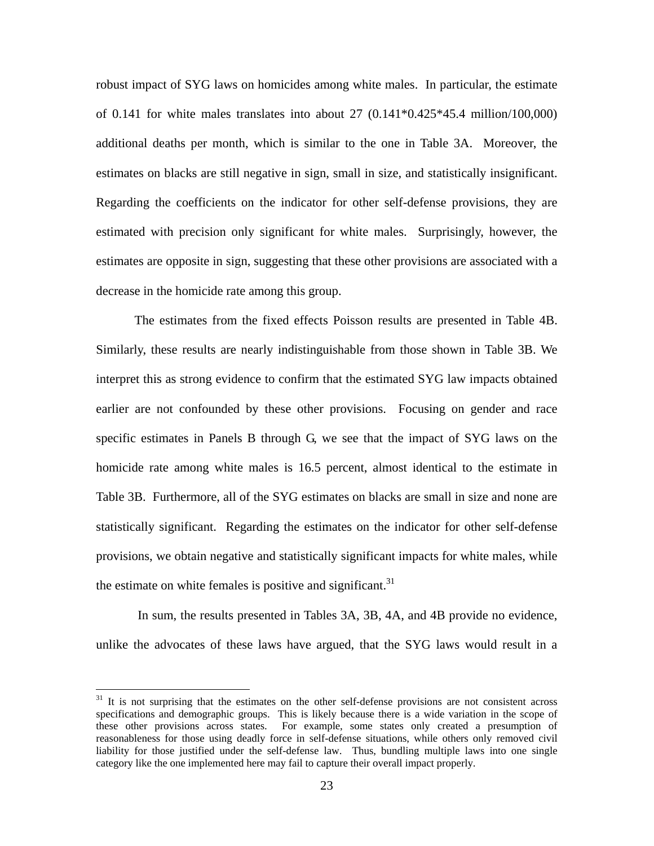robust impact of SYG laws on homicides among white males. In particular, the estimate of 0.141 for white males translates into about 27  $(0.141*0.425*45.4 \text{ million}/100,000)$ additional deaths per month, which is similar to the one in Table 3A. Moreover, the estimates on blacks are still negative in sign, small in size, and statistically insignificant. Regarding the coefficients on the indicator for other self-defense provisions, they are estimated with precision only significant for white males. Surprisingly, however, the estimates are opposite in sign, suggesting that these other provisions are associated with a decrease in the homicide rate among this group.

The estimates from the fixed effects Poisson results are presented in Table 4B. Similarly, these results are nearly indistinguishable from those shown in Table 3B. We interpret this as strong evidence to confirm that the estimated SYG law impacts obtained earlier are not confounded by these other provisions. Focusing on gender and race specific estimates in Panels B through G, we see that the impact of SYG laws on the homicide rate among white males is 16.5 percent, almost identical to the estimate in Table 3B. Furthermore, all of the SYG estimates on blacks are small in size and none are statistically significant. Regarding the estimates on the indicator for other self-defense provisions, we obtain negative and statistically significant impacts for white males, while the estimate on white females is positive and significant.<sup>31</sup>

 In sum, the results presented in Tables 3A, 3B, 4A, and 4B provide no evidence, unlike the advocates of these laws have argued, that the SYG laws would result in a

 $31$  It is not surprising that the estimates on the other self-defense provisions are not consistent across specifications and demographic groups. This is likely because there is a wide variation in the scope of these other provisions across states. For example, some states only created a presumption of reasonableness for those using deadly force in self-defense situations, while others only removed civil liability for those justified under the self-defense law. Thus, bundling multiple laws into one single category like the one implemented here may fail to capture their overall impact properly.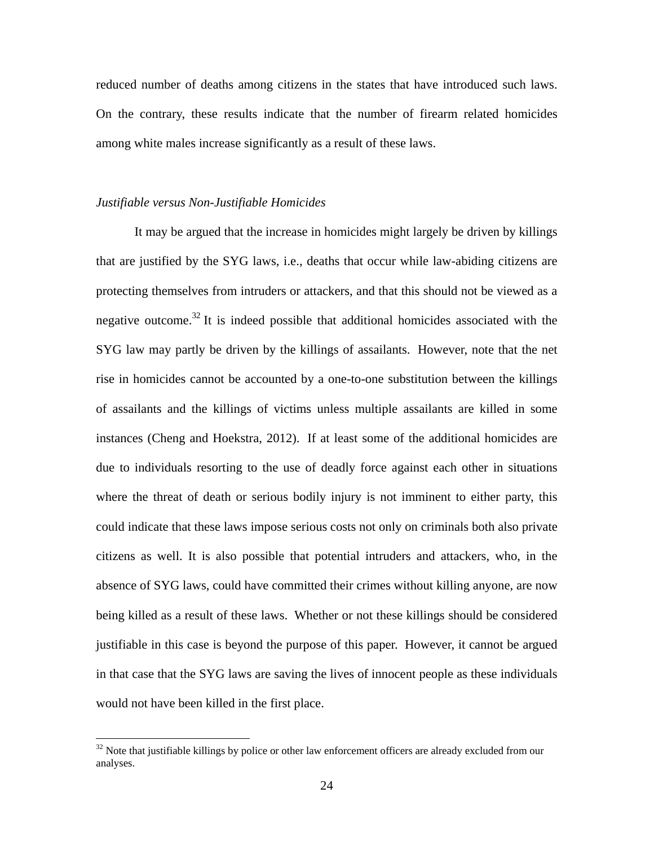reduced number of deaths among citizens in the states that have introduced such laws. On the contrary, these results indicate that the number of firearm related homicides among white males increase significantly as a result of these laws.

#### *Justifiable versus Non-Justifiable Homicides*

 $\overline{a}$ 

It may be argued that the increase in homicides might largely be driven by killings that are justified by the SYG laws, i.e., deaths that occur while law-abiding citizens are protecting themselves from intruders or attackers, and that this should not be viewed as a negative outcome.<sup>32</sup> It is indeed possible that additional homicides associated with the SYG law may partly be driven by the killings of assailants. However, note that the net rise in homicides cannot be accounted by a one-to-one substitution between the killings of assailants and the killings of victims unless multiple assailants are killed in some instances (Cheng and Hoekstra, 2012). If at least some of the additional homicides are due to individuals resorting to the use of deadly force against each other in situations where the threat of death or serious bodily injury is not imminent to either party, this could indicate that these laws impose serious costs not only on criminals both also private citizens as well. It is also possible that potential intruders and attackers, who, in the absence of SYG laws, could have committed their crimes without killing anyone, are now being killed as a result of these laws. Whether or not these killings should be considered justifiable in this case is beyond the purpose of this paper. However, it cannot be argued in that case that the SYG laws are saving the lives of innocent people as these individuals would not have been killed in the first place.

 $32$  Note that justifiable killings by police or other law enforcement officers are already excluded from our analyses.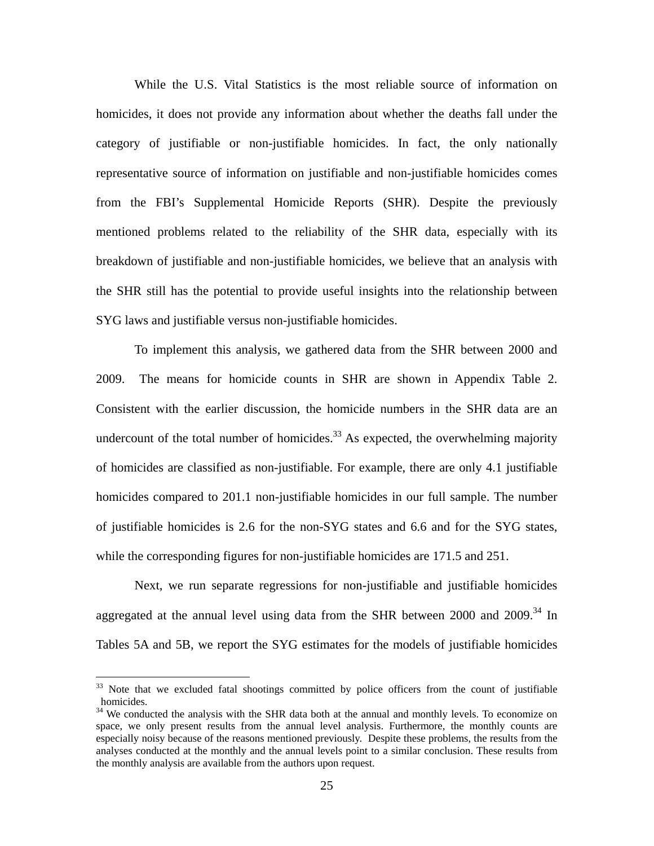While the U.S. Vital Statistics is the most reliable source of information on homicides, it does not provide any information about whether the deaths fall under the category of justifiable or non-justifiable homicides. In fact, the only nationally representative source of information on justifiable and non-justifiable homicides comes from the FBI's Supplemental Homicide Reports (SHR). Despite the previously mentioned problems related to the reliability of the SHR data, especially with its breakdown of justifiable and non-justifiable homicides, we believe that an analysis with the SHR still has the potential to provide useful insights into the relationship between SYG laws and justifiable versus non-justifiable homicides.

To implement this analysis, we gathered data from the SHR between 2000 and 2009. The means for homicide counts in SHR are shown in Appendix Table 2. Consistent with the earlier discussion, the homicide numbers in the SHR data are an undercount of the total number of homicides.<sup>33</sup> As expected, the overwhelming majority of homicides are classified as non-justifiable. For example, there are only 4.1 justifiable homicides compared to 201.1 non-justifiable homicides in our full sample. The number of justifiable homicides is 2.6 for the non-SYG states and 6.6 and for the SYG states, while the corresponding figures for non-justifiable homicides are 171.5 and 251.

Next, we run separate regressions for non-justifiable and justifiable homicides aggregated at the annual level using data from the SHR between 2000 and  $2009$ .<sup>34</sup> In Tables 5A and 5B, we report the SYG estimates for the models of justifiable homicides

<u>.</u>

 $33$  Note that we excluded fatal shootings committed by police officers from the count of justifiable homicides.

<sup>&</sup>lt;sup>34</sup> We conducted the analysis with the SHR data both at the annual and monthly levels. To economize on space, we only present results from the annual level analysis. Furthermore, the monthly counts are especially noisy because of the reasons mentioned previously. Despite these problems, the results from the analyses conducted at the monthly and the annual levels point to a similar conclusion. These results from the monthly analysis are available from the authors upon request.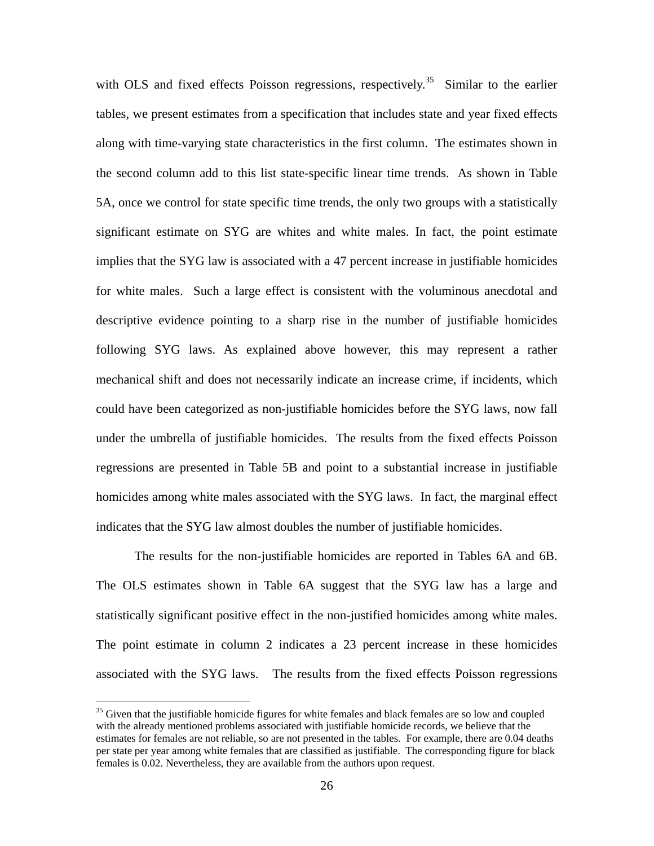with OLS and fixed effects Poisson regressions, respectively.<sup>35</sup> Similar to the earlier tables, we present estimates from a specification that includes state and year fixed effects along with time-varying state characteristics in the first column. The estimates shown in the second column add to this list state-specific linear time trends. As shown in Table 5A, once we control for state specific time trends, the only two groups with a statistically significant estimate on SYG are whites and white males. In fact, the point estimate implies that the SYG law is associated with a 47 percent increase in justifiable homicides for white males. Such a large effect is consistent with the voluminous anecdotal and descriptive evidence pointing to a sharp rise in the number of justifiable homicides following SYG laws. As explained above however, this may represent a rather mechanical shift and does not necessarily indicate an increase crime, if incidents, which could have been categorized as non-justifiable homicides before the SYG laws, now fall under the umbrella of justifiable homicides. The results from the fixed effects Poisson regressions are presented in Table 5B and point to a substantial increase in justifiable homicides among white males associated with the SYG laws. In fact, the marginal effect indicates that the SYG law almost doubles the number of justifiable homicides.

The results for the non-justifiable homicides are reported in Tables 6A and 6B. The OLS estimates shown in Table 6A suggest that the SYG law has a large and statistically significant positive effect in the non-justified homicides among white males. The point estimate in column 2 indicates a 23 percent increase in these homicides associated with the SYG laws. The results from the fixed effects Poisson regressions

<sup>&</sup>lt;sup>35</sup> Given that the justifiable homicide figures for white females and black females are so low and coupled with the already mentioned problems associated with justifiable homicide records, we believe that the estimates for females are not reliable, so are not presented in the tables. For example, there are 0.04 deaths per state per year among white females that are classified as justifiable. The corresponding figure for black females is 0.02. Nevertheless, they are available from the authors upon request.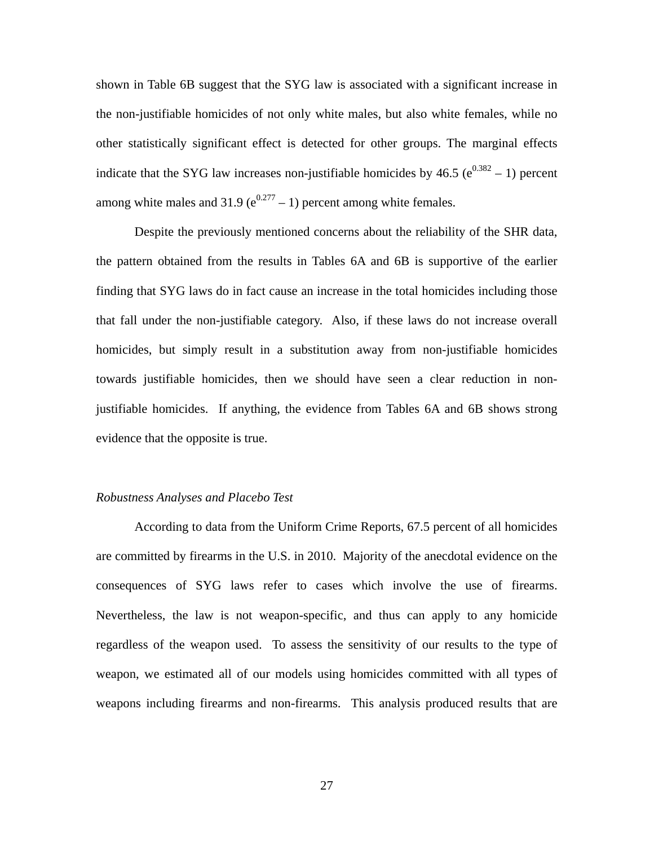shown in Table 6B suggest that the SYG law is associated with a significant increase in the non-justifiable homicides of not only white males, but also white females, while no other statistically significant effect is detected for other groups. The marginal effects indicate that the SYG law increases non-justifiable homicides by  $46.5$  ( $e^{0.382} - 1$ ) percent among white males and 31.9 ( $e^{0.277}$  – 1) percent among white females.

Despite the previously mentioned concerns about the reliability of the SHR data, the pattern obtained from the results in Tables 6A and 6B is supportive of the earlier finding that SYG laws do in fact cause an increase in the total homicides including those that fall under the non-justifiable category. Also, if these laws do not increase overall homicides, but simply result in a substitution away from non-justifiable homicides towards justifiable homicides, then we should have seen a clear reduction in nonjustifiable homicides. If anything, the evidence from Tables 6A and 6B shows strong evidence that the opposite is true.

#### *Robustness Analyses and Placebo Test*

According to data from the Uniform Crime Reports, 67.5 percent of all homicides are committed by firearms in the U.S. in 2010. Majority of the anecdotal evidence on the consequences of SYG laws refer to cases which involve the use of firearms. Nevertheless, the law is not weapon-specific, and thus can apply to any homicide regardless of the weapon used. To assess the sensitivity of our results to the type of weapon, we estimated all of our models using homicides committed with all types of weapons including firearms and non-firearms. This analysis produced results that are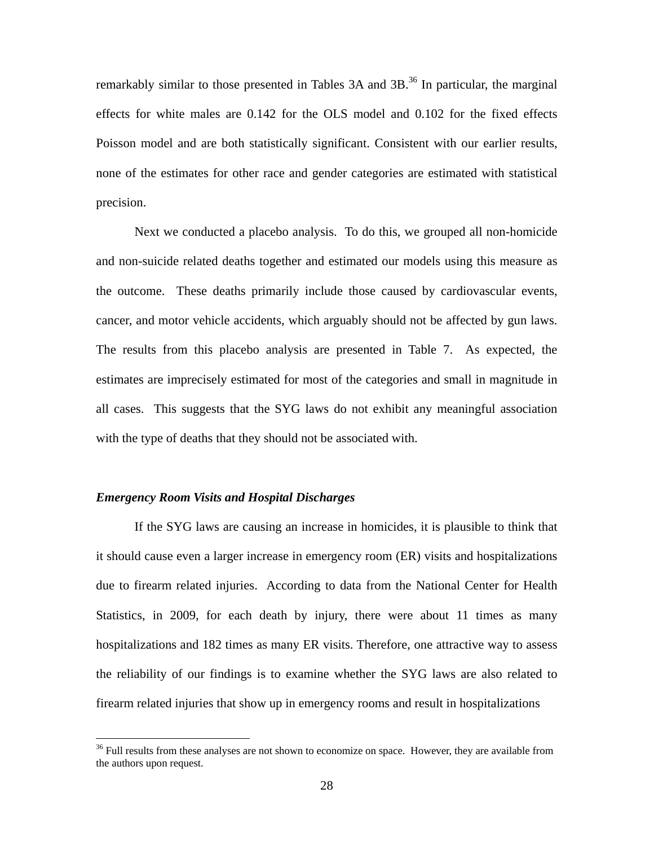remarkably similar to those presented in Tables  $3A$  and  $3B$ <sup>36</sup>. In particular, the marginal effects for white males are 0.142 for the OLS model and 0.102 for the fixed effects Poisson model and are both statistically significant. Consistent with our earlier results, none of the estimates for other race and gender categories are estimated with statistical precision.

Next we conducted a placebo analysis. To do this, we grouped all non-homicide and non-suicide related deaths together and estimated our models using this measure as the outcome. These deaths primarily include those caused by cardiovascular events, cancer, and motor vehicle accidents, which arguably should not be affected by gun laws. The results from this placebo analysis are presented in Table 7. As expected, the estimates are imprecisely estimated for most of the categories and small in magnitude in all cases. This suggests that the SYG laws do not exhibit any meaningful association with the type of deaths that they should not be associated with.

# *Emergency Room Visits and Hospital Discharges*

 $\overline{a}$ 

If the SYG laws are causing an increase in homicides, it is plausible to think that it should cause even a larger increase in emergency room (ER) visits and hospitalizations due to firearm related injuries. According to data from the National Center for Health Statistics, in 2009, for each death by injury, there were about 11 times as many hospitalizations and 182 times as many ER visits. Therefore, one attractive way to assess the reliability of our findings is to examine whether the SYG laws are also related to firearm related injuries that show up in emergency rooms and result in hospitalizations

<sup>&</sup>lt;sup>36</sup> Full results from these analyses are not shown to economize on space. However, they are available from the authors upon request.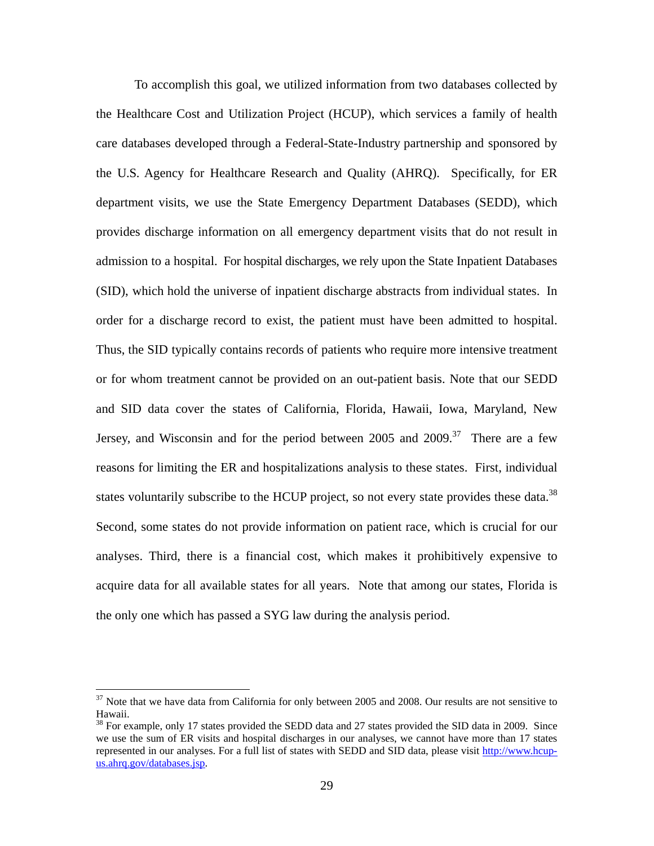To accomplish this goal, we utilized information from two databases collected by the Healthcare Cost and Utilization Project (HCUP), which services a family of health care databases developed through a Federal-State-Industry partnership and sponsored by the U.S. Agency for Healthcare Research and Quality (AHRQ). Specifically, for ER department visits, we use the State Emergency Department Databases (SEDD), which provides discharge information on all emergency department visits that do not result in admission to a hospital. For hospital discharges, we rely upon the State Inpatient Databases (SID), which hold the universe of inpatient discharge abstracts from individual states. In order for a discharge record to exist, the patient must have been admitted to hospital. Thus, the SID typically contains records of patients who require more intensive treatment or for whom treatment cannot be provided on an out-patient basis. Note that our SEDD and SID data cover the states of California, Florida, Hawaii, Iowa, Maryland, New Jersey, and Wisconsin and for the period between 2005 and 2009.<sup>37</sup> There are a few reasons for limiting the ER and hospitalizations analysis to these states. First, individual states voluntarily subscribe to the HCUP project, so not every state provides these data.<sup>38</sup> Second, some states do not provide information on patient race, which is crucial for our analyses. Third, there is a financial cost, which makes it prohibitively expensive to acquire data for all available states for all years. Note that among our states, Florida is the only one which has passed a SYG law during the analysis period.

1

 $37$  Note that we have data from California for only between 2005 and 2008. Our results are not sensitive to Hawaii.

<sup>&</sup>lt;sup>38</sup> For example, only 17 states provided the SEDD data and 27 states provided the SID data in 2009. Since we use the sum of ER visits and hospital discharges in our analyses, we cannot have more than 17 states represented in our analyses. For a full list of states with SEDD and SID data, please visit http://www.hcupus.ahrq.gov/databases.jsp.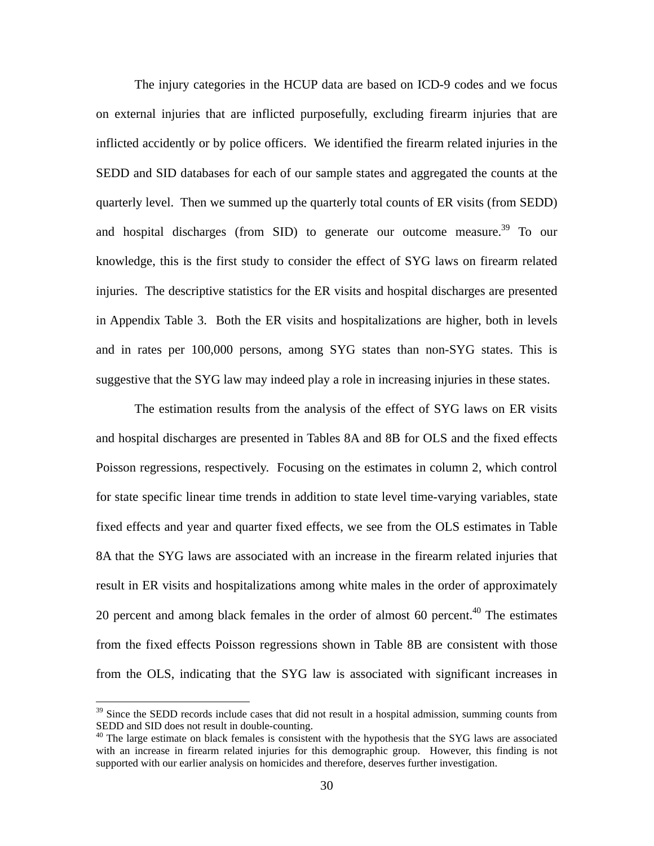The injury categories in the HCUP data are based on ICD-9 codes and we focus on external injuries that are inflicted purposefully, excluding firearm injuries that are inflicted accidently or by police officers. We identified the firearm related injuries in the SEDD and SID databases for each of our sample states and aggregated the counts at the quarterly level. Then we summed up the quarterly total counts of ER visits (from SEDD) and hospital discharges (from SID) to generate our outcome measure.<sup>39</sup> To our knowledge, this is the first study to consider the effect of SYG laws on firearm related injuries. The descriptive statistics for the ER visits and hospital discharges are presented in Appendix Table 3. Both the ER visits and hospitalizations are higher, both in levels and in rates per 100,000 persons, among SYG states than non-SYG states. This is suggestive that the SYG law may indeed play a role in increasing injuries in these states.

The estimation results from the analysis of the effect of SYG laws on ER visits and hospital discharges are presented in Tables 8A and 8B for OLS and the fixed effects Poisson regressions, respectively. Focusing on the estimates in column 2, which control for state specific linear time trends in addition to state level time-varying variables, state fixed effects and year and quarter fixed effects, we see from the OLS estimates in Table 8A that the SYG laws are associated with an increase in the firearm related injuries that result in ER visits and hospitalizations among white males in the order of approximately 20 percent and among black females in the order of almost 60 percent. $40$  The estimates from the fixed effects Poisson regressions shown in Table 8B are consistent with those from the OLS, indicating that the SYG law is associated with significant increases in

 $39$  Since the SEDD records include cases that did not result in a hospital admission, summing counts from SEDD and SID does not result in double-counting.

<sup>&</sup>lt;sup>40</sup> The large estimate on black females is consistent with the hypothesis that the SYG laws are associated with an increase in firearm related injuries for this demographic group. However, this finding is not supported with our earlier analysis on homicides and therefore, deserves further investigation.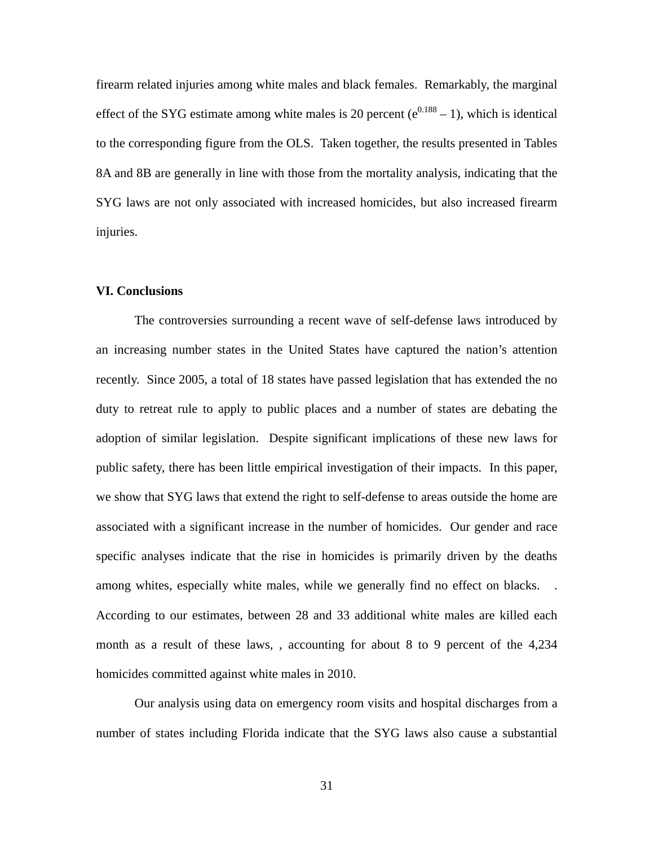firearm related injuries among white males and black females. Remarkably, the marginal effect of the SYG estimate among white males is 20 percent  $(e^{0.188} - 1)$ , which is identical to the corresponding figure from the OLS. Taken together, the results presented in Tables 8A and 8B are generally in line with those from the mortality analysis, indicating that the SYG laws are not only associated with increased homicides, but also increased firearm injuries.

# **VI. Conclusions**

The controversies surrounding a recent wave of self-defense laws introduced by an increasing number states in the United States have captured the nation's attention recently. Since 2005, a total of 18 states have passed legislation that has extended the no duty to retreat rule to apply to public places and a number of states are debating the adoption of similar legislation. Despite significant implications of these new laws for public safety, there has been little empirical investigation of their impacts. In this paper, we show that SYG laws that extend the right to self-defense to areas outside the home are associated with a significant increase in the number of homicides. Our gender and race specific analyses indicate that the rise in homicides is primarily driven by the deaths among whites, especially white males, while we generally find no effect on blacks. . According to our estimates, between 28 and 33 additional white males are killed each month as a result of these laws, , accounting for about 8 to 9 percent of the 4,234 homicides committed against white males in 2010.

Our analysis using data on emergency room visits and hospital discharges from a number of states including Florida indicate that the SYG laws also cause a substantial

31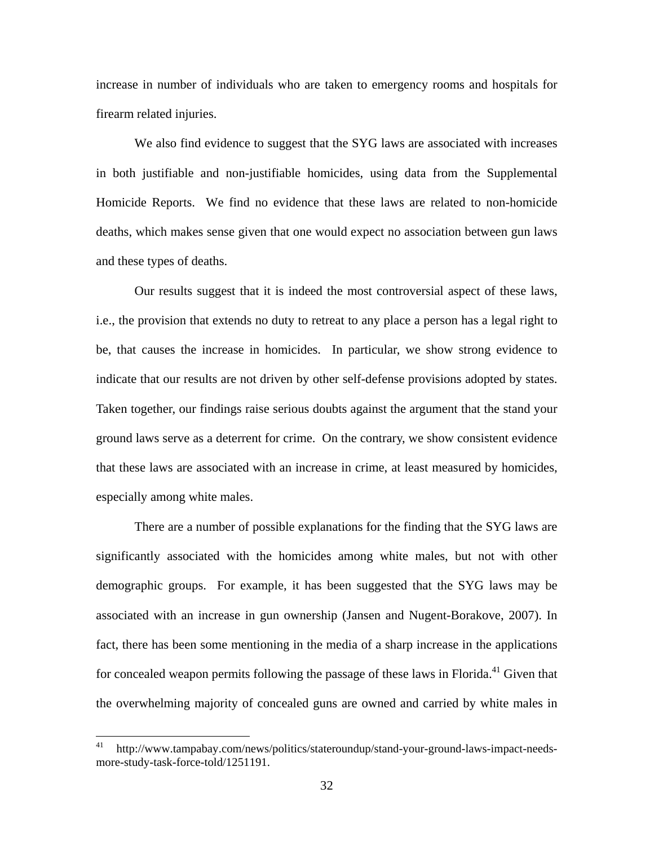increase in number of individuals who are taken to emergency rooms and hospitals for firearm related injuries.

We also find evidence to suggest that the SYG laws are associated with increases in both justifiable and non-justifiable homicides, using data from the Supplemental Homicide Reports. We find no evidence that these laws are related to non-homicide deaths, which makes sense given that one would expect no association between gun laws and these types of deaths.

Our results suggest that it is indeed the most controversial aspect of these laws, i.e., the provision that extends no duty to retreat to any place a person has a legal right to be, that causes the increase in homicides. In particular, we show strong evidence to indicate that our results are not driven by other self-defense provisions adopted by states. Taken together, our findings raise serious doubts against the argument that the stand your ground laws serve as a deterrent for crime. On the contrary, we show consistent evidence that these laws are associated with an increase in crime, at least measured by homicides, especially among white males.

There are a number of possible explanations for the finding that the SYG laws are significantly associated with the homicides among white males, but not with other demographic groups. For example, it has been suggested that the SYG laws may be associated with an increase in gun ownership (Jansen and Nugent-Borakove, 2007). In fact, there has been some mentioning in the media of a sharp increase in the applications for concealed weapon permits following the passage of these laws in Florida.<sup>41</sup> Given that the overwhelming majority of concealed guns are owned and carried by white males in

<sup>41</sup> http://www.tampabay.com/news/politics/stateroundup/stand-your-ground-laws-impact-needsmore-study-task-force-told/1251191.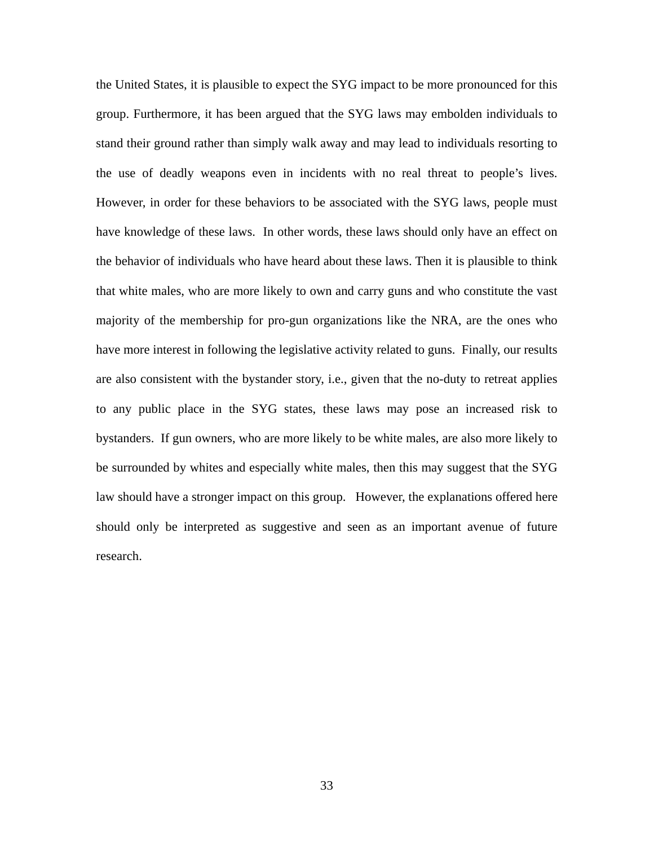the United States, it is plausible to expect the SYG impact to be more pronounced for this group. Furthermore, it has been argued that the SYG laws may embolden individuals to stand their ground rather than simply walk away and may lead to individuals resorting to the use of deadly weapons even in incidents with no real threat to people's lives. However, in order for these behaviors to be associated with the SYG laws, people must have knowledge of these laws. In other words, these laws should only have an effect on the behavior of individuals who have heard about these laws. Then it is plausible to think that white males, who are more likely to own and carry guns and who constitute the vast majority of the membership for pro-gun organizations like the NRA, are the ones who have more interest in following the legislative activity related to guns. Finally, our results are also consistent with the bystander story, i.e., given that the no-duty to retreat applies to any public place in the SYG states, these laws may pose an increased risk to bystanders. If gun owners, who are more likely to be white males, are also more likely to be surrounded by whites and especially white males, then this may suggest that the SYG law should have a stronger impact on this group. However, the explanations offered here should only be interpreted as suggestive and seen as an important avenue of future research.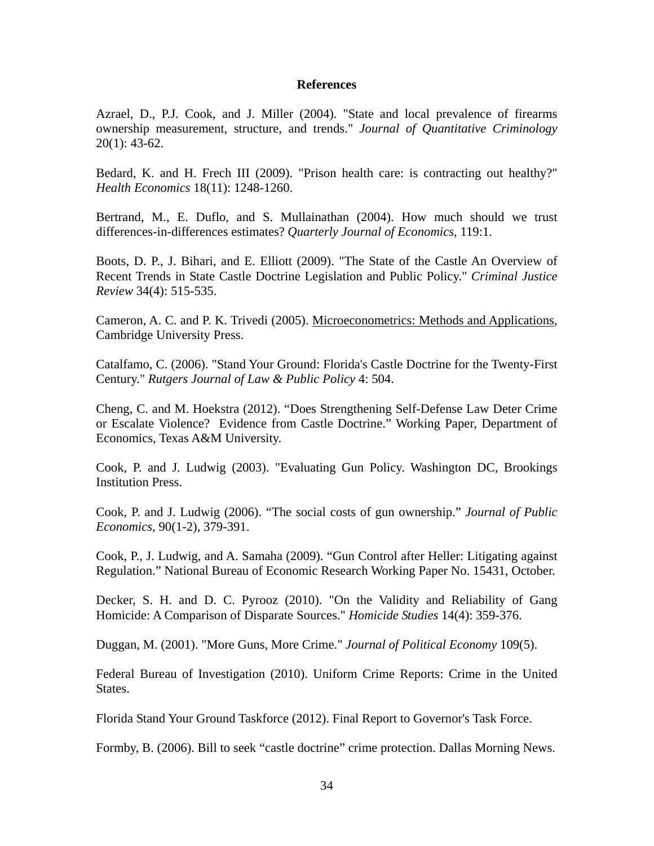#### **References**

Azrael, D., P.J. Cook, and J. Miller (2004). "State and local prevalence of firearms ownership measurement, structure, and trends." *Journal of Quantitative Criminology*  $20(1)$ : 43-62.

Bedard, K. and H. Frech III (2009). "Prison health care: is contracting out healthy?" *Health Economics* 18(11): 1248-1260.

Bertrand, M., E. Duflo, and S. Mullainathan (2004). How much should we trust differences-in-differences estimates? *Quarterly Journal of Economics*, 119:1.

Boots, D. P., J. Bihari, and E. Elliott (2009). "The State of the Castle An Overview of Recent Trends in State Castle Doctrine Legislation and Public Policy." *Criminal Justice Review* 34(4): 515-535.

Cameron, A. C. and P. K. Trivedi (2005). Microeconometrics: Methods and Applications, Cambridge University Press.

Catalfamo, C. (2006). "Stand Your Ground: Florida's Castle Doctrine for the Twenty-First Century." *Rutgers Journal of Law & Public Policy* 4: 504.

Cheng, C. and M. Hoekstra (2012). "Does Strengthening Self-Defense Law Deter Crime or Escalate Violence? Evidence from Castle Doctrine." Working Paper, Department of Economics, Texas A&M University.

Cook, P. and J. Ludwig (2003). "Evaluating Gun Policy. Washington DC, Brookings Institution Press.

Cook, P. and J. Ludwig (2006). "The social costs of gun ownership." *Journal of Public Economics*, 90(1-2), 379-391.

Cook, P., J. Ludwig, and A. Samaha (2009). "Gun Control after Heller: Litigating against Regulation." National Bureau of Economic Research Working Paper No. 15431, October.

Decker, S. H. and D. C. Pyrooz (2010). "On the Validity and Reliability of Gang Homicide: A Comparison of Disparate Sources." *Homicide Studies* 14(4): 359-376.

Duggan, M. (2001). "More Guns, More Crime." *Journal of Political Economy* 109(5).

Federal Bureau of Investigation (2010). Uniform Crime Reports: Crime in the United States.

Florida Stand Your Ground Taskforce (2012). Final Report to Governor's Task Force.

Formby, B. (2006). Bill to seek "castle doctrine" crime protection. Dallas Morning News.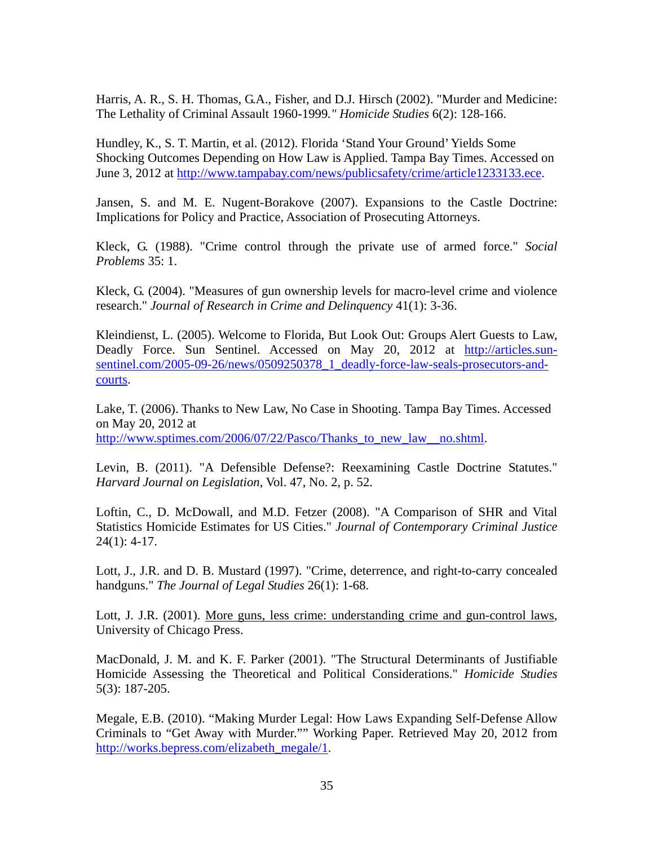Harris, A. R., S. H. Thomas, G.A., Fisher, and D.J. Hirsch (2002). "Murder and Medicine: The Lethality of Criminal Assault 1960-1999*." Homicide Studies* 6(2): 128-166.

Hundley, K., S. T. Martin, et al. (2012). Florida 'Stand Your Ground' Yields Some Shocking Outcomes Depending on How Law is Applied. Tampa Bay Times. Accessed on June 3, 2012 at http://www.tampabay.com/news/publicsafety/crime/article1233133.ece.

Jansen, S. and M. E. Nugent-Borakove (2007). Expansions to the Castle Doctrine: Implications for Policy and Practice, Association of Prosecuting Attorneys.

Kleck, G. (1988). "Crime control through the private use of armed force." *Social Problems* 35: 1.

Kleck, G. (2004). "Measures of gun ownership levels for macro-level crime and violence research." *Journal of Research in Crime and Delinquency* 41(1): 3-36.

Kleindienst, L. (2005). Welcome to Florida, But Look Out: Groups Alert Guests to Law, Deadly Force. Sun Sentinel. Accessed on May 20, 2012 at http://articles.sunsentinel.com/2005-09-26/news/0509250378\_1\_deadly-force-law-seals-prosecutors-andcourts.

Lake, T. (2006). Thanks to New Law, No Case in Shooting. Tampa Bay Times. Accessed on May 20, 2012 at http://www.sptimes.com/2006/07/22/Pasco/Thanks to new law no.shtml.

Levin, B. (2011). "A Defensible Defense?: Reexamining Castle Doctrine Statutes." *Harvard Journal on Legislation*, Vol. 47, No. 2, p. 52.

Loftin, C., D. McDowall, and M.D. Fetzer (2008). "A Comparison of SHR and Vital Statistics Homicide Estimates for US Cities." *Journal of Contemporary Criminal Justice* 24(1): 4-17.

Lott, J., J.R. and D. B. Mustard (1997). "Crime, deterrence, and right-to-carry concealed handguns." *The Journal of Legal Studies* 26(1): 1-68.

Lott, J. J.R. (2001). More guns, less crime: understanding crime and gun-control laws, University of Chicago Press.

MacDonald, J. M. and K. F. Parker (2001). "The Structural Determinants of Justifiable Homicide Assessing the Theoretical and Political Considerations." *Homicide Studies* 5(3): 187-205.

Megale, E.B. (2010). "Making Murder Legal: How Laws Expanding Self-Defense Allow Criminals to "Get Away with Murder."" Working Paper. Retrieved May 20, 2012 from http://works.bepress.com/elizabeth\_megale/1.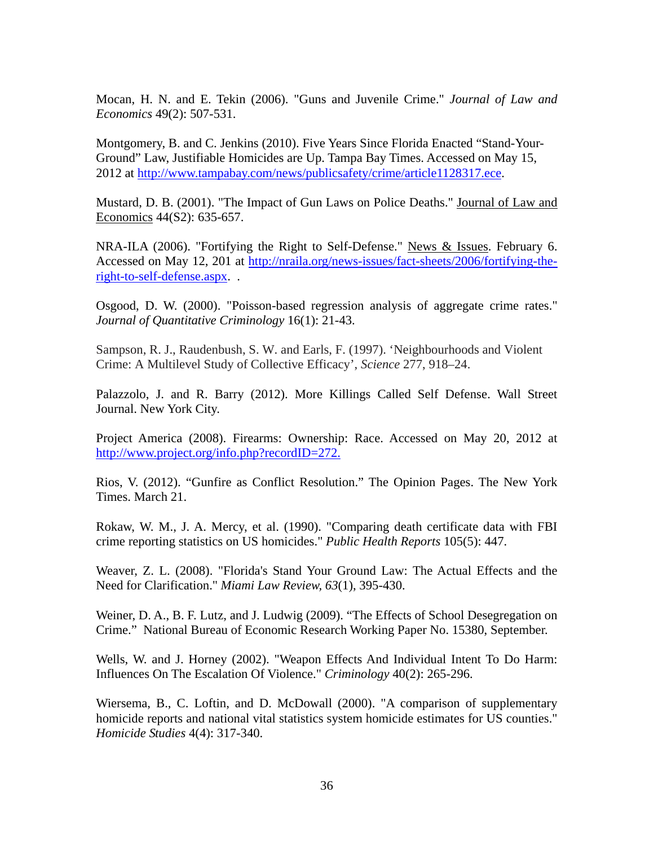Mocan, H. N. and E. Tekin (2006). "Guns and Juvenile Crime." *Journal of Law and Economics* 49(2): 507-531.

Montgomery, B. and C. Jenkins (2010). Five Years Since Florida Enacted "Stand-Your-Ground" Law, Justifiable Homicides are Up. Tampa Bay Times. Accessed on May 15, 2012 at http://www.tampabay.com/news/publicsafety/crime/article1128317.ece.

Mustard, D. B. (2001). "The Impact of Gun Laws on Police Deaths." Journal of Law and Economics 44(S2): 635-657.

NRA-ILA (2006). "Fortifying the Right to Self-Defense." News & Issues. February 6. Accessed on May 12, 201 at http://nraila.org/news-issues/fact-sheets/2006/fortifying-theright-to-self-defense.aspx. .

Osgood, D. W. (2000). "Poisson-based regression analysis of aggregate crime rates." *Journal of Quantitative Criminology* 16(1): 21-43.

Sampson, R. J., Raudenbush, S. W. and Earls, F. (1997). 'Neighbourhoods and Violent Crime: A Multilevel Study of Collective Efficacy', *Science* 277, 918–24.

Palazzolo, J. and R. Barry (2012). More Killings Called Self Defense. Wall Street Journal. New York City.

Project America (2008). Firearms: Ownership: Race. Accessed on May 20, 2012 at http://www.project.org/info.php?recordID=272.

Rios, V. (2012). "Gunfire as Conflict Resolution." The Opinion Pages. The New York Times. March 21.

Rokaw, W. M., J. A. Mercy, et al. (1990). "Comparing death certificate data with FBI crime reporting statistics on US homicides." *Public Health Reports* 105(5): 447.

Weaver, Z. L. (2008). "Florida's Stand Your Ground Law: The Actual Effects and the Need for Clarification." *Miami Law Review, 63*(1), 395-430.

Weiner, D. A., B. F. Lutz, and J. Ludwig (2009). "The Effects of School Desegregation on Crime." National Bureau of Economic Research Working Paper No. 15380, September.

Wells, W. and J. Horney (2002). "Weapon Effects And Individual Intent To Do Harm: Influences On The Escalation Of Violence." *Criminology* 40(2): 265-296.

Wiersema, B., C. Loftin, and D. McDowall (2000). "A comparison of supplementary homicide reports and national vital statistics system homicide estimates for US counties." *Homicide Studies* 4(4): 317-340.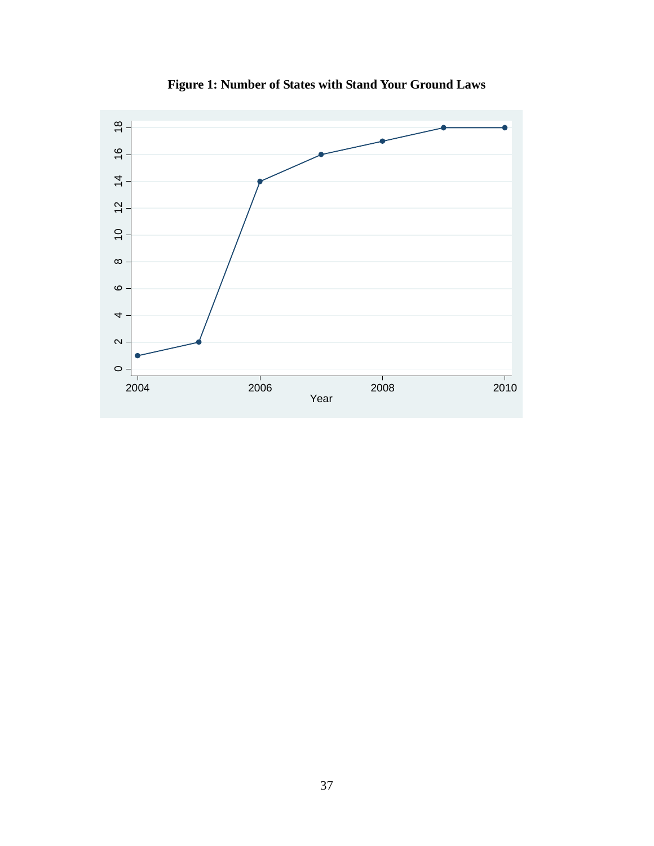

**Figure 1: Number of States with Stand Your Ground Laws**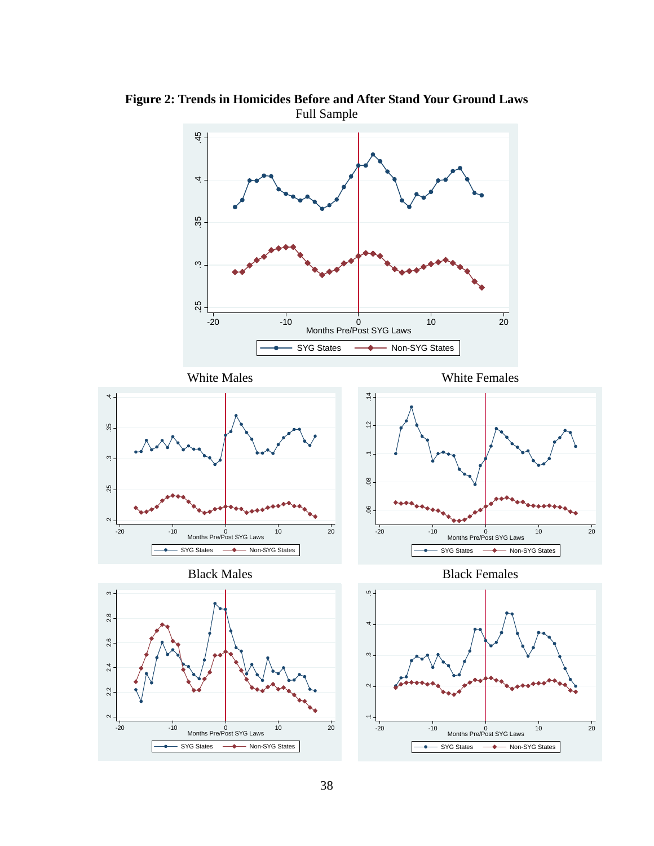

**Figure 2: Trends in Homicides Before and After Stand Your Ground Laws**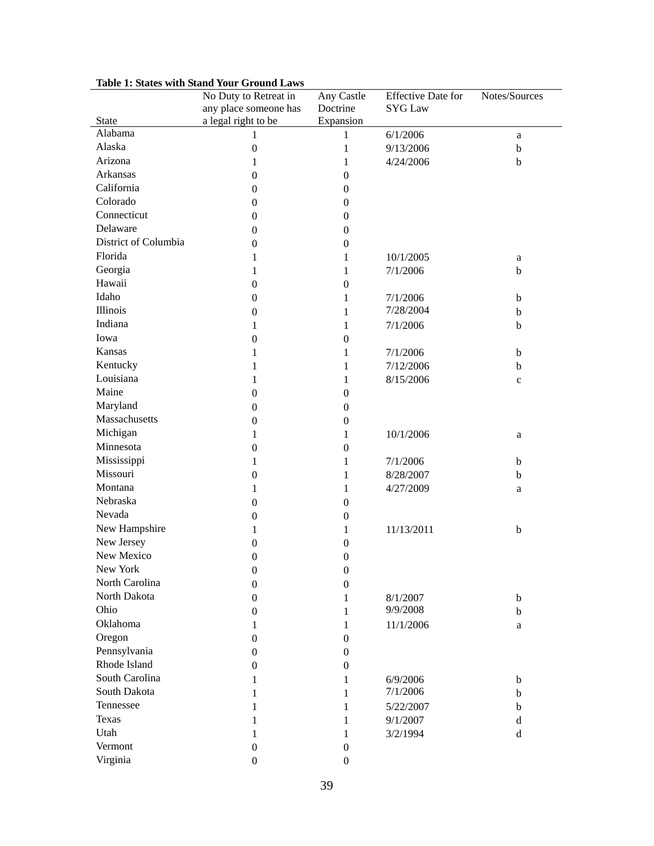| any place someone has<br>Doctrine<br><b>SYG Law</b>                    |  |
|------------------------------------------------------------------------|--|
|                                                                        |  |
| a legal right to be<br>Expansion<br><b>State</b>                       |  |
| Alabama<br>6/1/2006<br>1<br>1<br>a                                     |  |
| Alaska<br>$\boldsymbol{0}$<br>$\mathbf{1}$<br>9/13/2006<br>$\mathbf b$ |  |
| Arizona<br>1<br>4/24/2006<br>1<br>b                                    |  |
| Arkansas<br>$\boldsymbol{0}$<br>$\boldsymbol{0}$                       |  |
| California<br>$\boldsymbol{0}$<br>$\boldsymbol{0}$                     |  |
| Colorado<br>$\boldsymbol{0}$<br>$\boldsymbol{0}$                       |  |
| Connecticut<br>$\boldsymbol{0}$<br>$\boldsymbol{0}$                    |  |
| Delaware<br>$\boldsymbol{0}$<br>$\boldsymbol{0}$                       |  |
| District of Columbia<br>$\boldsymbol{0}$<br>$\boldsymbol{0}$           |  |
| Florida<br>1<br>1<br>10/1/2005<br>a                                    |  |
| Georgia<br>1<br>$\mathbf{1}$<br>7/1/2006<br>$\mathbf b$                |  |
| Hawaii<br>$\boldsymbol{0}$<br>$\boldsymbol{0}$                         |  |
| Idaho<br>$\boldsymbol{0}$<br>7/1/2006<br>1<br>$\mathbf b$              |  |
| <b>Illinois</b><br>7/28/2004<br>$\boldsymbol{0}$<br>$\mathbf b$<br>1   |  |
| Indiana<br>7/1/2006<br>1<br>$\mathbf{1}$<br>$\mathbf b$                |  |
| Iowa<br>$\boldsymbol{0}$<br>$\boldsymbol{0}$                           |  |
| Kansas<br>1<br>$\mathbf{1}$<br>7/1/2006<br>$\mathbf b$                 |  |
| Kentucky<br>7/12/2006<br>1<br>1<br>$\mathbf b$                         |  |
| Louisiana<br>8/15/2006<br>1<br>1                                       |  |
| $\mathbf c$<br>Maine                                                   |  |
| $\boldsymbol{0}$<br>$\boldsymbol{0}$<br>Maryland                       |  |
| $\boldsymbol{0}$<br>$\boldsymbol{0}$<br>Massachusetts                  |  |
| $\boldsymbol{0}$<br>$\boldsymbol{0}$                                   |  |
| Michigan<br>1<br>10/1/2006<br>1<br>a                                   |  |
| Minnesota<br>$\boldsymbol{0}$<br>$\boldsymbol{0}$                      |  |
| Mississippi<br>1<br>$\mathbf{1}$<br>7/1/2006<br>$\mathbf b$            |  |
| Missouri<br>$\boldsymbol{0}$<br>8/28/2007<br>$\mathbf b$<br>1          |  |
| Montana<br>1<br>4/27/2009<br>1<br>a                                    |  |
| Nebraska<br>$\boldsymbol{0}$<br>$\boldsymbol{0}$                       |  |
| Nevada<br>$\boldsymbol{0}$<br>$\boldsymbol{0}$                         |  |
| New Hampshire<br>11/13/2011<br>1<br>1<br>$\mathbf b$                   |  |
| New Jersey<br>$\boldsymbol{0}$<br>$\boldsymbol{0}$                     |  |
| New Mexico<br>$\boldsymbol{0}$<br>$\boldsymbol{0}$                     |  |
| New York<br>$\boldsymbol{0}$<br>$\boldsymbol{0}$                       |  |
| North Carolina<br>$\boldsymbol{0}$<br>$\boldsymbol{0}$                 |  |
| North Dakota<br>$\boldsymbol{0}$<br>8/1/2007<br>1<br>b                 |  |
| Ohio<br>9/9/2008<br>$\boldsymbol{0}$<br>1<br>b                         |  |
| Oklahoma<br>11/1/2006<br>1<br>1<br>a                                   |  |
| Oregon<br>$\boldsymbol{0}$<br>$\boldsymbol{0}$                         |  |
| Pennsylvania<br>$\boldsymbol{0}$<br>$\boldsymbol{0}$                   |  |
| Rhode Island<br>$\boldsymbol{0}$<br>$\boldsymbol{0}$                   |  |
| South Carolina<br>1<br>6/9/2006<br>1<br>b                              |  |
| South Dakota<br>7/1/2006<br>1<br>1<br>b                                |  |
| Tennessee<br>5/22/2007<br>1<br>b<br>1                                  |  |
| Texas<br>9/1/2007<br>1<br>1<br>$\rm d$                                 |  |
| Utah<br>d<br>1<br>1<br>3/2/1994                                        |  |
| Vermont<br>$\boldsymbol{0}$<br>$\boldsymbol{0}$                        |  |
| Virginia<br>$\boldsymbol{0}$<br>$\boldsymbol{0}$                       |  |

**Table 1: States with Stand Your Ground Laws**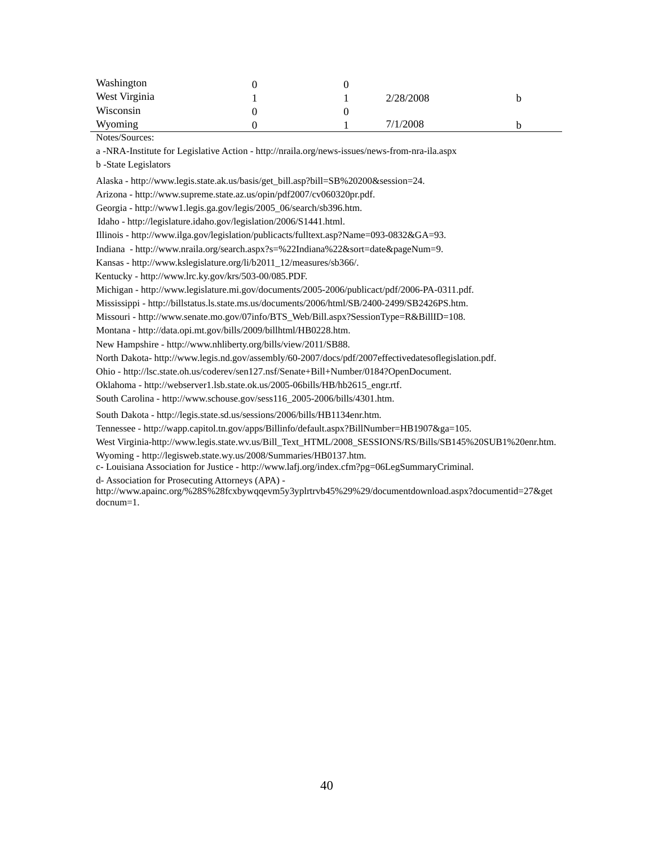| Washington    |  |           |   |
|---------------|--|-----------|---|
| West Virginia |  | 2/28/2008 | b |
| Wisconsin     |  |           |   |
| Wyoming       |  | 7/1/2008  |   |

Notes/Sources:

a -NRA-Institute for Legislative Action - http://nraila.org/news-issues/news-from-nra-ila.aspx

b -State Legislators

Alaska - http://www.legis.state.ak.us/basis/get\_bill.asp?bill=SB%20200&session=24.

Arizona - http://www.supreme.state.az.us/opin/pdf2007/cv060320pr.pdf.

Georgia - http://www1.legis.ga.gov/legis/2005\_06/search/sb396.htm.

Idaho - http://legislature.idaho.gov/legislation/2006/S1441.html.

Illinois - http://www.ilga.gov/legislation/publicacts/fulltext.asp?Name=093-0832&GA=93.

Indiana - http://www.nraila.org/search.aspx?s=%22Indiana%22&sort=date&pageNum=9.

Kansas - http://www.kslegislature.org/li/b2011\_12/measures/sb366/.

Kentucky - http://www.lrc.ky.gov/krs/503-00/085.PDF.

Michigan - http://www.legislature.mi.gov/documents/2005-2006/publicact/pdf/2006-PA-0311.pdf.

Mississippi - http://billstatus.ls.state.ms.us/documents/2006/html/SB/2400-2499/SB2426PS.htm.

Missouri - http://www.senate.mo.gov/07info/BTS\_Web/Bill.aspx?SessionType=R&BillID=108.

Montana - http://data.opi.mt.gov/bills/2009/billhtml/HB0228.htm.

New Hampshire - http://www.nhliberty.org/bills/view/2011/SB88.

North Dakota- http://www.legis.nd.gov/assembly/60-2007/docs/pdf/2007effectivedatesoflegislation.pdf.

Ohio - http://lsc.state.oh.us/coderev/sen127.nsf/Senate+Bill+Number/0184?OpenDocument.

Oklahoma - http://webserver1.lsb.state.ok.us/2005-06bills/HB/hb2615\_engr.rtf.

South Carolina - http://www.schouse.gov/sess116\_2005-2006/bills/4301.htm.

South Dakota - http://legis.state.sd.us/sessions/2006/bills/HB1134enr.htm.

Tennessee - http://wapp.capitol.tn.gov/apps/Billinfo/default.aspx?BillNumber=HB1907&ga=105.

West Virginia-http://www.legis.state.wv.us/Bill\_Text\_HTML/2008\_SESSIONS/RS/Bills/SB145%20SUB1%20enr.htm.

Wyoming - http://legisweb.state.wy.us/2008/Summaries/HB0137.htm.

c- Louisiana Association for Justice - http://www.lafj.org/index.cfm?pg=06LegSummaryCriminal.

d- Association for Prosecuting Attorneys (APA) -

http://www.apainc.org/%28S%28fcxbywqqevm5y3yplrtrvb45%29%29/documentdownload.aspx?documentid=27&get docnum=1.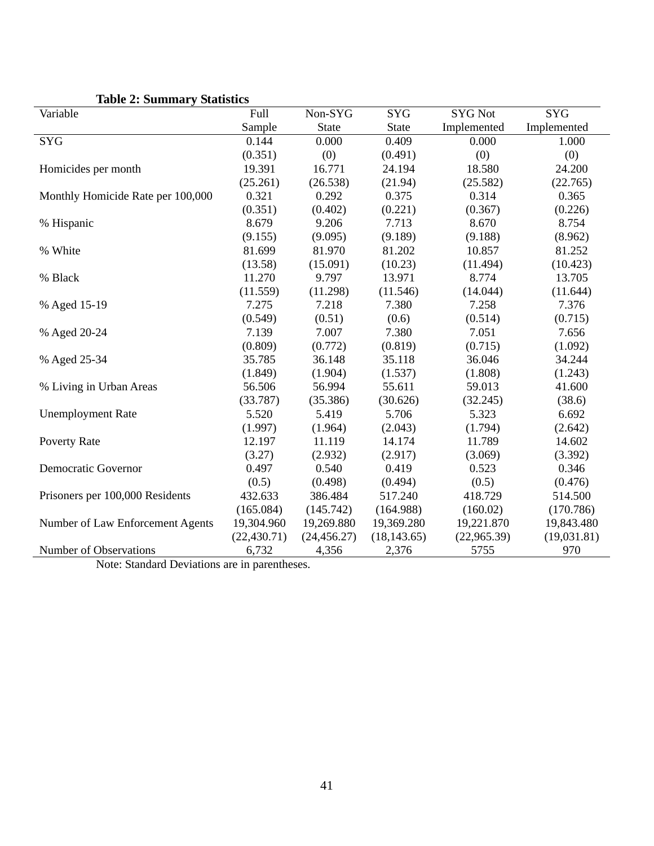| Variable                          | Full         | Non-SYG      | <b>SYG</b>   | <b>SYG Not</b> | <b>SYG</b>  |
|-----------------------------------|--------------|--------------|--------------|----------------|-------------|
|                                   | Sample       | <b>State</b> | State        | Implemented    | Implemented |
| <b>SYG</b>                        | 0.144        | 0.000        | 0.409        | 0.000          | 1.000       |
|                                   | (0.351)      | (0)          | (0.491)      | (0)            | (0)         |
| Homicides per month               | 19.391       | 16.771       | 24.194       | 18.580         | 24.200      |
|                                   | (25.261)     | (26.538)     | (21.94)      | (25.582)       | (22.765)    |
| Monthly Homicide Rate per 100,000 | 0.321        | 0.292        | 0.375        | 0.314          | 0.365       |
|                                   | (0.351)      | (0.402)      | (0.221)      | (0.367)        | (0.226)     |
| % Hispanic                        | 8.679        | 9.206        | 7.713        | 8.670          | 8.754       |
|                                   | (9.155)      | (9.095)      | (9.189)      | (9.188)        | (8.962)     |
| % White                           | 81.699       | 81.970       | 81.202       | 10.857         | 81.252      |
|                                   | (13.58)      | (15.091)     | (10.23)      | (11.494)       | (10.423)    |
| % Black                           | 11.270       | 9.797        | 13.971       | 8.774          | 13.705      |
|                                   | (11.559)     | (11.298)     | (11.546)     | (14.044)       | (11.644)    |
| % Aged 15-19                      | 7.275        | 7.218        | 7.380        | 7.258          | 7.376       |
|                                   | (0.549)      | (0.51)       | (0.6)        | (0.514)        | (0.715)     |
| % Aged 20-24                      | 7.139        | 7.007        | 7.380        | 7.051          | 7.656       |
|                                   | (0.809)      | (0.772)      | (0.819)      | (0.715)        | (1.092)     |
| % Aged 25-34                      | 35.785       | 36.148       | 35.118       | 36.046         | 34.244      |
|                                   | (1.849)      | (1.904)      | (1.537)      | (1.808)        | (1.243)     |
| % Living in Urban Areas           | 56.506       | 56.994       | 55.611       | 59.013         | 41.600      |
|                                   | (33.787)     | (35.386)     | (30.626)     | (32.245)       | (38.6)      |
| <b>Unemployment Rate</b>          | 5.520        | 5.419        | 5.706        | 5.323          | 6.692       |
|                                   | (1.997)      | (1.964)      | (2.043)      | (1.794)        | (2.642)     |
| Poverty Rate                      | 12.197       | 11.119       | 14.174       | 11.789         | 14.602      |
|                                   | (3.27)       | (2.932)      | (2.917)      | (3.069)        | (3.392)     |
| <b>Democratic Governor</b>        | 0.497        | 0.540        | 0.419        | 0.523          | 0.346       |
|                                   | (0.5)        | (0.498)      | (0.494)      | (0.5)          | (0.476)     |
| Prisoners per 100,000 Residents   | 432.633      | 386.484      | 517.240      | 418.729        | 514.500     |
|                                   | (165.084)    | (145.742)    | (164.988)    | (160.02)       | (170.786)   |
| Number of Law Enforcement Agents  | 19,304.960   | 19,269.880   | 19,369.280   | 19,221.870     | 19,843.480  |
|                                   | (22, 430.71) | (24, 456.27) | (18, 143.65) | (22,965.39)    | (19,031.81) |
| Number of Observations            | 6,732        | 4,356        | 2,376        | 5755           | 970         |

# **Table 2: Summary Statistics**

Note: Standard Deviations are in parentheses.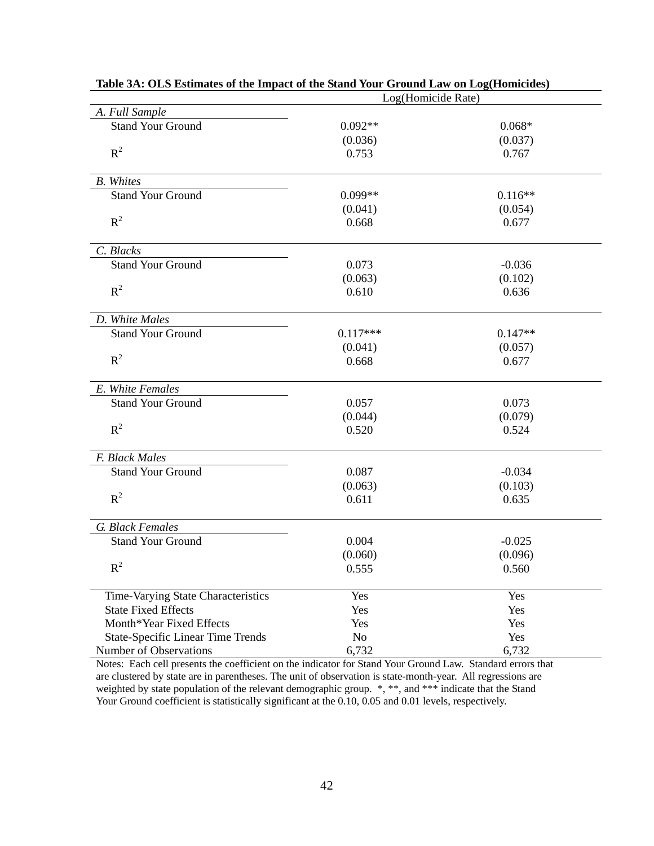|                                          | Log(Homicide Rate) |           |
|------------------------------------------|--------------------|-----------|
| A. Full Sample                           |                    |           |
| <b>Stand Your Ground</b>                 | $0.092**$          | $0.068*$  |
|                                          | (0.036)            | (0.037)   |
| $R^2$                                    | 0.753              | 0.767     |
| <b>B.</b> Whites                         |                    |           |
| <b>Stand Your Ground</b>                 | $0.099**$          | $0.116**$ |
|                                          | (0.041)            | (0.054)   |
| $R^2$                                    | 0.668              | 0.677     |
| C. Blacks                                |                    |           |
| <b>Stand Your Ground</b>                 | 0.073              | $-0.036$  |
|                                          | (0.063)            | (0.102)   |
| $R^2$                                    | 0.610              | 0.636     |
| D. White Males                           |                    |           |
| <b>Stand Your Ground</b>                 | $0.117***$         | $0.147**$ |
|                                          | (0.041)            | (0.057)   |
| $R^2$                                    | 0.668              | 0.677     |
| E. White Females                         |                    |           |
| <b>Stand Your Ground</b>                 | 0.057              | 0.073     |
|                                          | (0.044)            | (0.079)   |
| $R^2$                                    | 0.520              | 0.524     |
| F. Black Males                           |                    |           |
| <b>Stand Your Ground</b>                 | 0.087              | $-0.034$  |
|                                          | (0.063)            | (0.103)   |
| $R^2$                                    | 0.611              | 0.635     |
| G. Black Females                         |                    |           |
| <b>Stand Your Ground</b>                 | 0.004              | $-0.025$  |
|                                          | (0.060)            | (0.096)   |
| $R^2$                                    | 0.555              | 0.560     |
| Time-Varying State Characteristics       | Yes                | Yes       |
| <b>State Fixed Effects</b>               | Yes                | Yes       |
| Month*Year Fixed Effects                 | Yes                | Yes       |
| <b>State-Specific Linear Time Trends</b> | No                 | Yes       |
| Number of Observations                   | 6,732              | 6,732     |

# **Table 3A: OLS Estimates of the Impact of the Stand Your Ground Law on Log(Homicides)**

Notes: Each cell presents the coefficient on the indicator for Stand Your Ground Law. Standard errors that are clustered by state are in parentheses. The unit of observation is state-month-year. All regressions are weighted by state population of the relevant demographic group.  $*, **$ , and  $***$  indicate that the Stand Your Ground coefficient is statistically significant at the 0.10, 0.05 and 0.01 levels, respectively.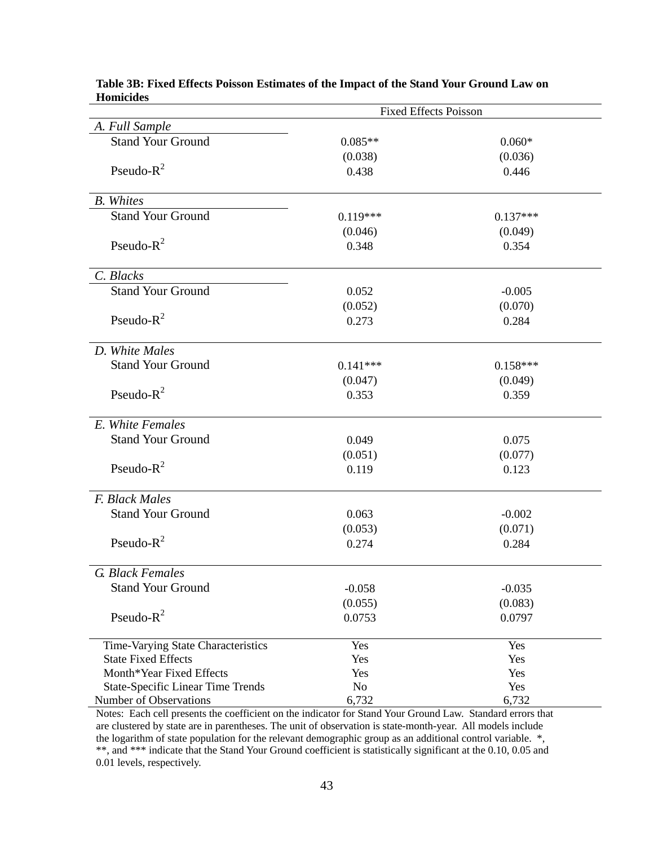| <b>Fixed Effects Poisson</b>             |                |            |
|------------------------------------------|----------------|------------|
| A. Full Sample                           |                |            |
| <b>Stand Your Ground</b>                 | $0.085**$      | $0.060*$   |
|                                          | (0.038)        | (0.036)    |
| Pseudo- $R^2$                            | 0.438          | 0.446      |
| <b>B.</b> Whites                         |                |            |
| <b>Stand Your Ground</b>                 | $0.119***$     | $0.137***$ |
|                                          | (0.046)        | (0.049)    |
| Pseudo- $R^2$                            | 0.348          | 0.354      |
| C. Blacks                                |                |            |
| <b>Stand Your Ground</b>                 | 0.052          | $-0.005$   |
|                                          | (0.052)        | (0.070)    |
| Pseudo- $R^2$                            | 0.273          | 0.284      |
| D. White Males                           |                |            |
| <b>Stand Your Ground</b>                 | $0.141***$     | $0.158***$ |
|                                          | (0.047)        | (0.049)    |
| Pseudo- $R^2$                            | 0.353          | 0.359      |
| E. White Females                         |                |            |
| <b>Stand Your Ground</b>                 | 0.049          | 0.075      |
|                                          | (0.051)        | (0.077)    |
| Pseudo- $R^2$                            | 0.119          | 0.123      |
| F. Black Males                           |                |            |
| <b>Stand Your Ground</b>                 | 0.063          | $-0.002$   |
|                                          | (0.053)        | (0.071)    |
| Pseudo- $R^2$                            | 0.274          | 0.284      |
| G. Black Females                         |                |            |
| <b>Stand Your Ground</b>                 | $-0.058$       | $-0.035$   |
|                                          | (0.055)        | (0.083)    |
| Pseudo- $R^2$                            | 0.0753         | 0.0797     |
| Time-Varying State Characteristics       | Yes            | Yes        |
| <b>State Fixed Effects</b>               | Yes            | Yes        |
| Month*Year Fixed Effects                 | Yes            | Yes        |
| <b>State-Specific Linear Time Trends</b> | N <sub>o</sub> | Yes        |
| Number of Observations                   | 6,732          | 6,732      |

#### **Table 3B: Fixed Effects Poisson Estimates of the Impact of the Stand Your Ground Law on Homicides**

Notes: Each cell presents the coefficient on the indicator for Stand Your Ground Law. Standard errors that are clustered by state are in parentheses. The unit of observation is state-month-year. All models include the logarithm of state population for the relevant demographic group as an additional control variable. \*, \*\*, and \*\*\* indicate that the Stand Your Ground coefficient is statistically significant at the 0.10, 0.05 and 0.01 levels, respectively.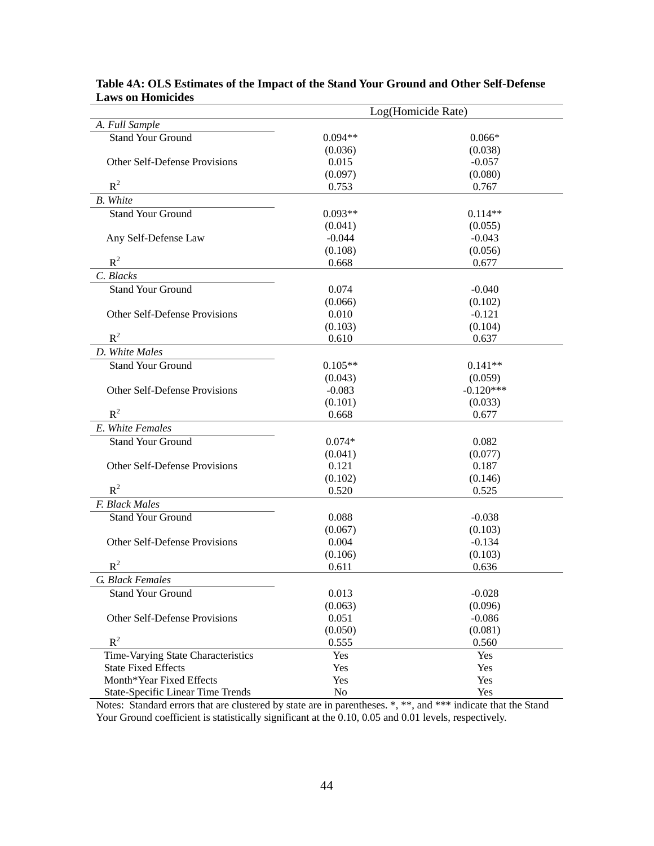|                                          | Log(Homicide Rate)  |                  |  |
|------------------------------------------|---------------------|------------------|--|
| A. Full Sample                           |                     |                  |  |
| <b>Stand Your Ground</b>                 | $0.094**$           | $0.066*$         |  |
|                                          | (0.036)             | (0.038)          |  |
| Other Self-Defense Provisions            | 0.015               | $-0.057$         |  |
|                                          | (0.097)             | (0.080)          |  |
| $R^2$                                    | 0.753               | 0.767            |  |
| <b>B.</b> White                          |                     |                  |  |
| <b>Stand Your Ground</b>                 | $0.093**$           | $0.114**$        |  |
|                                          | (0.041)             | (0.055)          |  |
| Any Self-Defense Law                     | $-0.044$            | $-0.043$         |  |
|                                          | (0.108)             | (0.056)          |  |
| $R^2$                                    | 0.668               | 0.677            |  |
| C. Blacks                                |                     |                  |  |
| <b>Stand Your Ground</b>                 | 0.074               | $-0.040$         |  |
|                                          | (0.066)             | (0.102)          |  |
| Other Self-Defense Provisions            | 0.010               | $-0.121$         |  |
| $R^2$                                    | (0.103)             | (0.104)          |  |
|                                          | 0.610               | 0.637            |  |
| D. White Males                           |                     |                  |  |
| <b>Stand Your Ground</b>                 | $0.105**$           | $0.141**$        |  |
|                                          | (0.043)             | (0.059)          |  |
| Other Self-Defense Provisions            | $-0.083$            | $-0.120***$      |  |
| $R^2$                                    | (0.101)<br>0.668    | (0.033)<br>0.677 |  |
| E. White Females                         |                     |                  |  |
| <b>Stand Your Ground</b>                 |                     |                  |  |
|                                          | $0.074*$<br>(0.041) | 0.082<br>(0.077) |  |
| Other Self-Defense Provisions            | 0.121               | 0.187            |  |
|                                          | (0.102)             | (0.146)          |  |
| $R^2$                                    | 0.520               | 0.525            |  |
| F. Black Males                           |                     |                  |  |
| <b>Stand Your Ground</b>                 | 0.088               | $-0.038$         |  |
|                                          | (0.067)             | (0.103)          |  |
| Other Self-Defense Provisions            | 0.004               | $-0.134$         |  |
|                                          | (0.106)             | (0.103)          |  |
| $R^2$                                    | 0.611               | 0.636            |  |
| G. Black Females                         |                     |                  |  |
| <b>Stand Your Ground</b>                 | 0.013               | $-0.028$         |  |
|                                          | (0.063)             | (0.096)          |  |
| Other Self-Defense Provisions            | 0.051               | $-0.086$         |  |
|                                          | (0.050)             | (0.081)          |  |
| $R^2$                                    | 0.555               | 0.560            |  |
| Time-Varying State Characteristics       | Yes                 | Yes              |  |
| <b>State Fixed Effects</b>               | Yes                 | Yes              |  |
| Month*Year Fixed Effects                 | Yes                 | Yes              |  |
| <b>State-Specific Linear Time Trends</b> | No                  | Yes              |  |

# **Table 4A: OLS Estimates of the Impact of the Stand Your Ground and Other Self-Defense Laws on Homicides**

Notes: Standard errors that are clustered by state are in parentheses. \*, \*\*, and \*\*\* indicate that the Stand Your Ground coefficient is statistically significant at the 0.10, 0.05 and 0.01 levels, respectively.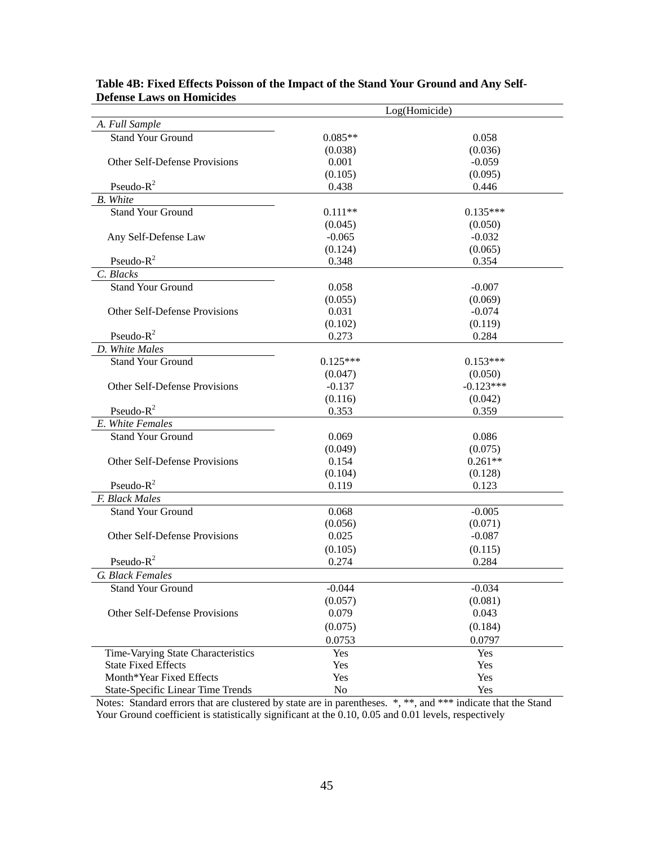|                                          | Log(Homicide)    |                     |  |
|------------------------------------------|------------------|---------------------|--|
| A. Full Sample                           |                  |                     |  |
| <b>Stand Your Ground</b>                 | $0.085**$        | 0.058               |  |
|                                          | (0.038)          | (0.036)             |  |
| Other Self-Defense Provisions            | 0.001            | $-0.059$            |  |
|                                          | (0.105)          | (0.095)             |  |
| Pseudo- $R^2$                            | 0.438            | 0.446               |  |
| <b>B.</b> White                          |                  |                     |  |
| Stand Your Ground                        | $0.111**$        | $0.135***$          |  |
|                                          | (0.045)          | (0.050)             |  |
| Any Self-Defense Law                     | $-0.065$         | $-0.032$            |  |
| Pseudo- $R^2$                            | (0.124)          | (0.065)             |  |
| C. Blacks                                | 0.348            | 0.354               |  |
| <b>Stand Your Ground</b>                 | 0.058            | $-0.007$            |  |
|                                          | (0.055)          | (0.069)             |  |
| Other Self-Defense Provisions            | 0.031            | $-0.074$            |  |
|                                          | (0.102)          | (0.119)             |  |
| Pseudo- $R^2$                            | 0.273            | 0.284               |  |
| D. White Males                           |                  |                     |  |
| <b>Stand Your Ground</b>                 | $0.125***$       | $0.153***$          |  |
|                                          | (0.047)          | (0.050)             |  |
| Other Self-Defense Provisions            | $-0.137$         | $-0.123***$         |  |
|                                          | (0.116)          | (0.042)             |  |
| Pseudo- $R^2$                            | 0.353            | 0.359               |  |
| E. White Females                         |                  |                     |  |
| <b>Stand Your Ground</b>                 | 0.069            | 0.086               |  |
|                                          | (0.049)          | (0.075)             |  |
| Other Self-Defense Provisions            | 0.154            | $0.261**$           |  |
|                                          | (0.104)          | (0.128)             |  |
| Pseudo- $R^2$                            | 0.119            | 0.123               |  |
| F. Black Males                           |                  |                     |  |
| <b>Stand Your Ground</b>                 | 0.068            | $-0.005$            |  |
| Other Self-Defense Provisions            | (0.056)<br>0.025 | (0.071)<br>$-0.087$ |  |
|                                          |                  |                     |  |
| Pseudo- $R^2$                            | (0.105)<br>0.274 | (0.115)<br>0.284    |  |
| G. Black Females                         |                  |                     |  |
| <b>Stand Your Ground</b>                 | $-0.044$         | $-0.034$            |  |
|                                          | (0.057)          | (0.081)             |  |
| Other Self-Defense Provisions            | 0.079            | 0.043               |  |
|                                          | (0.075)          | (0.184)             |  |
|                                          | 0.0753           | 0.0797              |  |
| Time-Varying State Characteristics       | Yes              | Yes                 |  |
| <b>State Fixed Effects</b>               | Yes              | Yes                 |  |
| Month*Year Fixed Effects                 | Yes              | Yes                 |  |
| <b>State-Specific Linear Time Trends</b> | No               | Yes                 |  |

# **Table 4B: Fixed Effects Poisson of the Impact of the Stand Your Ground and Any Self-Defense Laws on Homicides**

Notes: Standard errors that are clustered by state are in parentheses.  $*, **$ , and \*\*\* indicate that the Stand Your Ground coefficient is statistically significant at the 0.10, 0.05 and 0.01 levels, respectively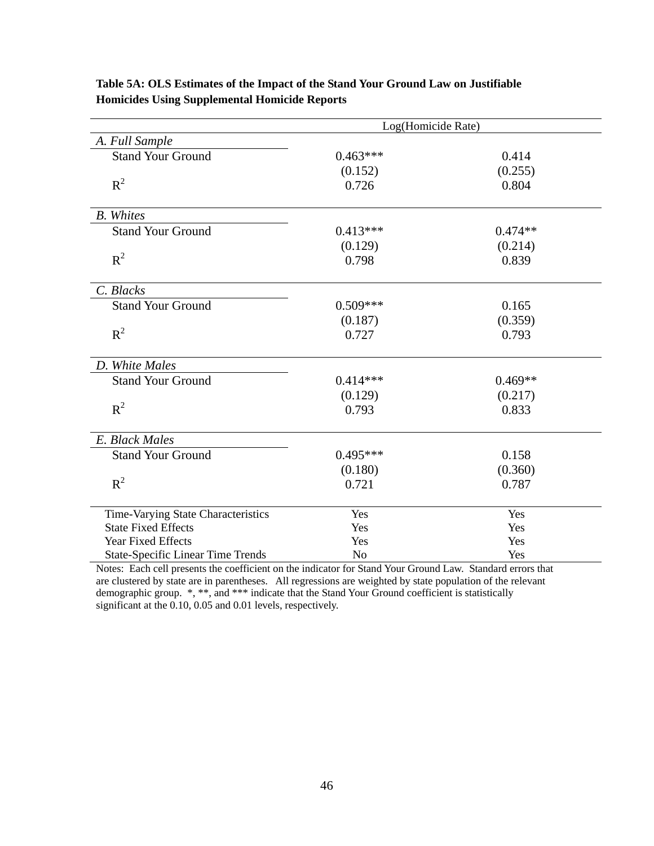|                                          |            | Log(Homicide Rate) |  |  |  |
|------------------------------------------|------------|--------------------|--|--|--|
| A. Full Sample                           |            |                    |  |  |  |
| <b>Stand Your Ground</b>                 | $0.463***$ | 0.414              |  |  |  |
|                                          | (0.152)    | (0.255)            |  |  |  |
| $R^2$                                    | 0.726      | 0.804              |  |  |  |
|                                          |            |                    |  |  |  |
| <b>B.</b> Whites                         |            |                    |  |  |  |
| <b>Stand Your Ground</b>                 | $0.413***$ | $0.474**$          |  |  |  |
|                                          | (0.129)    | (0.214)            |  |  |  |
| $R^2$                                    | 0.798      | 0.839              |  |  |  |
| C. Blacks                                |            |                    |  |  |  |
| <b>Stand Your Ground</b>                 | $0.509***$ | 0.165              |  |  |  |
|                                          | (0.187)    | (0.359)            |  |  |  |
| $R^2$                                    | 0.727      | 0.793              |  |  |  |
|                                          |            |                    |  |  |  |
| D. White Males                           |            |                    |  |  |  |
| <b>Stand Your Ground</b>                 | $0.414***$ | $0.469**$          |  |  |  |
|                                          | (0.129)    | (0.217)            |  |  |  |
| $R^2$                                    | 0.793      | 0.833              |  |  |  |
|                                          |            |                    |  |  |  |
| E. Black Males                           |            |                    |  |  |  |
| <b>Stand Your Ground</b>                 | $0.495***$ | 0.158              |  |  |  |
|                                          | (0.180)    | (0.360)            |  |  |  |
| $R^2$                                    | 0.721      | 0.787              |  |  |  |
|                                          |            |                    |  |  |  |
| Time-Varying State Characteristics       | Yes        | Yes                |  |  |  |
| <b>State Fixed Effects</b>               | Yes        | Yes                |  |  |  |
| Year Fixed Effects                       | Yes        | Yes                |  |  |  |
| <b>State-Specific Linear Time Trends</b> | No         | Yes                |  |  |  |

# **Table 5A: OLS Estimates of the Impact of the Stand Your Ground Law on Justifiable Homicides Using Supplemental Homicide Reports**

Notes: Each cell presents the coefficient on the indicator for Stand Your Ground Law. Standard errors that are clustered by state are in parentheses. All regressions are weighted by state population of the relevant demographic group. \*, \*\*, and \*\*\* indicate that the Stand Your Ground coefficient is statistically significant at the 0.10, 0.05 and 0.01 levels, respectively.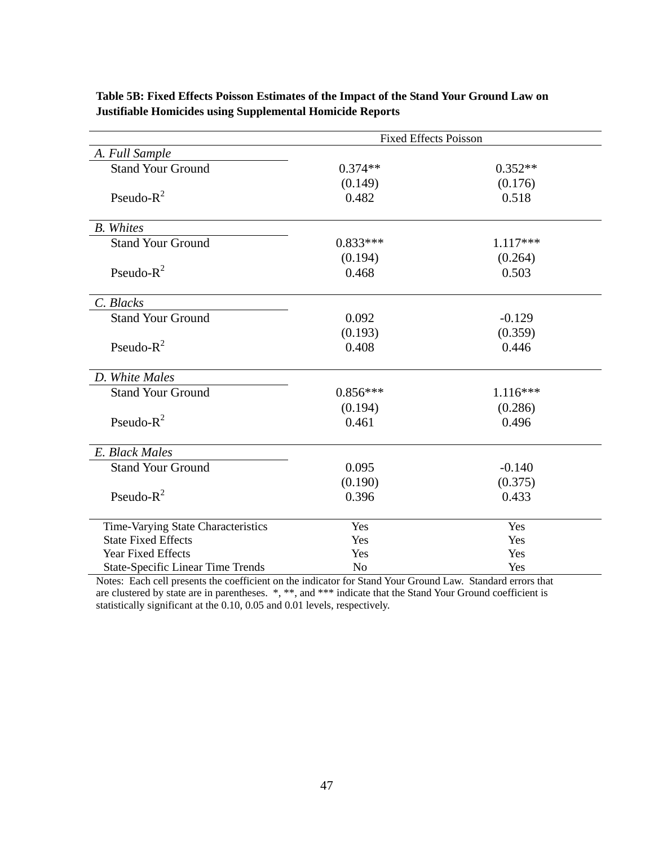| <b>Fixed Effects Poisson</b>             |                |            |
|------------------------------------------|----------------|------------|
| A. Full Sample                           |                |            |
| <b>Stand Your Ground</b>                 | $0.374**$      | $0.352**$  |
|                                          | (0.149)        | (0.176)    |
| Pseudo- $R^2$                            | 0.482          | 0.518      |
|                                          |                |            |
| <b>B.</b> Whites                         |                |            |
| <b>Stand Your Ground</b>                 | $0.833***$     | $1.117***$ |
|                                          | (0.194)        | (0.264)    |
| Pseudo- $R^2$                            | 0.468          | 0.503      |
|                                          |                |            |
| C. Blacks                                |                |            |
| <b>Stand Your Ground</b>                 | 0.092          | $-0.129$   |
|                                          | (0.193)        | (0.359)    |
| Pseudo- $R^2$                            | 0.408          | 0.446      |
|                                          |                |            |
| D. White Males                           |                |            |
| <b>Stand Your Ground</b>                 | $0.856***$     | $1.116***$ |
|                                          | (0.194)        | (0.286)    |
| Pseudo- $R^2$                            | 0.461          | 0.496      |
|                                          |                |            |
| E. Black Males                           |                |            |
| <b>Stand Your Ground</b>                 | 0.095          | $-0.140$   |
|                                          | (0.190)        | (0.375)    |
| Pseudo- $R^2$                            | 0.396          | 0.433      |
|                                          |                |            |
| Time-Varying State Characteristics       | Yes            | Yes        |
| <b>State Fixed Effects</b>               | Yes            | Yes        |
| Year Fixed Effects                       | Yes            | Yes        |
| <b>State-Specific Linear Time Trends</b> | N <sub>o</sub> | Yes        |

**Table 5B: Fixed Effects Poisson Estimates of the Impact of the Stand Your Ground Law on Justifiable Homicides using Supplemental Homicide Reports**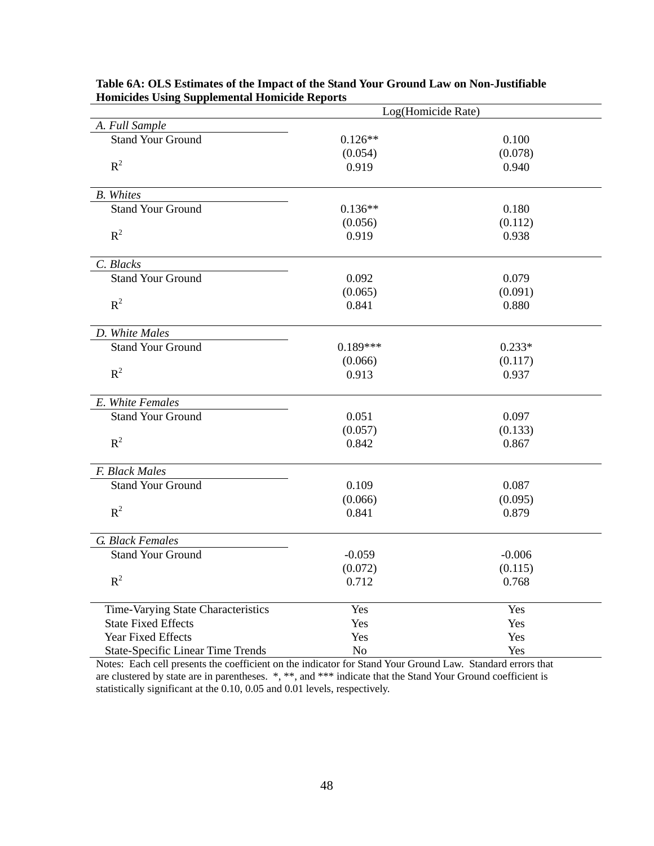|                                          | Log(Homicide Rate) |          |  |  |
|------------------------------------------|--------------------|----------|--|--|
| A. Full Sample                           |                    |          |  |  |
| <b>Stand Your Ground</b>                 | $0.126**$          | 0.100    |  |  |
|                                          | (0.054)            | (0.078)  |  |  |
| $R^2$                                    | 0.919              | 0.940    |  |  |
| <b>B.</b> Whites                         |                    |          |  |  |
| <b>Stand Your Ground</b>                 | $0.136**$          | 0.180    |  |  |
|                                          | (0.056)            | (0.112)  |  |  |
| $R^2$                                    | 0.919              | 0.938    |  |  |
| C. Blacks                                |                    |          |  |  |
| <b>Stand Your Ground</b>                 | 0.092              | 0.079    |  |  |
|                                          | (0.065)            | (0.091)  |  |  |
| $R^2$                                    | 0.841              | 0.880    |  |  |
| D. White Males                           |                    |          |  |  |
| <b>Stand Your Ground</b>                 | $0.189***$         | $0.233*$ |  |  |
|                                          | (0.066)            | (0.117)  |  |  |
| $R^2$                                    | 0.913              | 0.937    |  |  |
| E. White Females                         |                    |          |  |  |
| <b>Stand Your Ground</b>                 | 0.051              | 0.097    |  |  |
|                                          | (0.057)            | (0.133)  |  |  |
| $R^2$                                    | 0.842              | 0.867    |  |  |
| F. Black Males                           |                    |          |  |  |
| <b>Stand Your Ground</b>                 | 0.109              | 0.087    |  |  |
|                                          | (0.066)            | (0.095)  |  |  |
| $R^2$                                    | 0.841              | 0.879    |  |  |
| <b>G.</b> Black Females                  |                    |          |  |  |
| <b>Stand Your Ground</b>                 | $-0.059$           | $-0.006$ |  |  |
|                                          | (0.072)            | (0.115)  |  |  |
| $R^2$                                    | 0.712              | 0.768    |  |  |
| Time-Varying State Characteristics       | Yes                | Yes      |  |  |
| <b>State Fixed Effects</b>               | Yes                | Yes      |  |  |
| Year Fixed Effects                       | Yes                | Yes      |  |  |
| <b>State-Specific Linear Time Trends</b> | N <sub>o</sub>     | Yes      |  |  |

**Table 6A: OLS Estimates of the Impact of the Stand Your Ground Law on Non-Justifiable Homicides Using Supplemental Homicide Reports**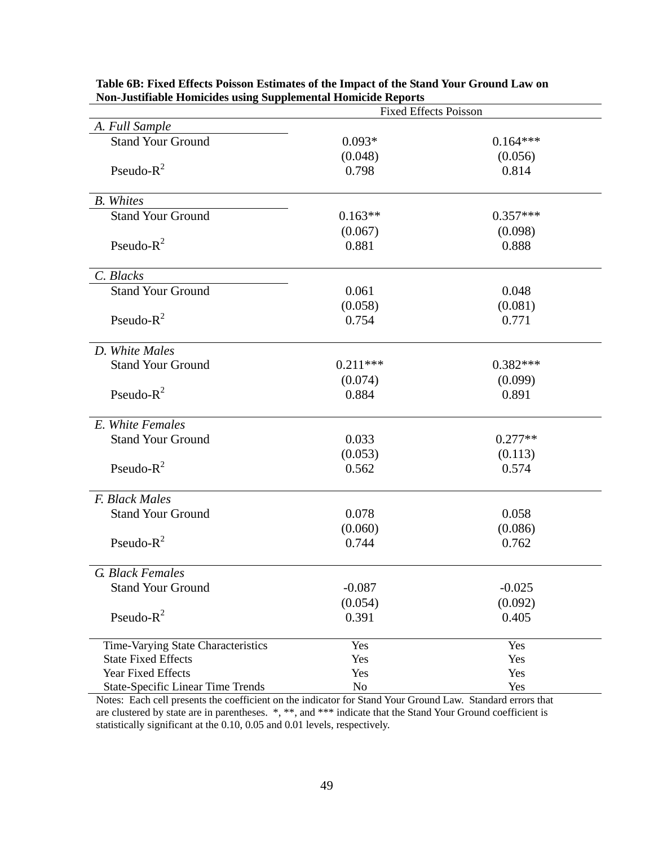|                                          | <b>Fixed Effects Poisson</b> |            |  |
|------------------------------------------|------------------------------|------------|--|
| A. Full Sample                           |                              |            |  |
| <b>Stand Your Ground</b>                 | $0.093*$                     | $0.164***$ |  |
|                                          | (0.048)                      | (0.056)    |  |
| Pseudo- $R^2$                            | 0.798                        | 0.814      |  |
|                                          |                              |            |  |
| <b>B.</b> Whites                         |                              |            |  |
| <b>Stand Your Ground</b>                 | $0.163**$                    | $0.357***$ |  |
|                                          | (0.067)                      | (0.098)    |  |
| Pseudo- $R^2$                            | 0.881                        | 0.888      |  |
|                                          |                              |            |  |
| C. Blacks                                |                              |            |  |
| <b>Stand Your Ground</b>                 | 0.061                        | 0.048      |  |
|                                          | (0.058)                      | (0.081)    |  |
| Pseudo- $R^2$                            | 0.754                        | 0.771      |  |
|                                          |                              |            |  |
| D. White Males                           |                              |            |  |
| <b>Stand Your Ground</b>                 | $0.211***$                   | $0.382***$ |  |
|                                          | (0.074)                      | (0.099)    |  |
| Pseudo- $R^2$                            | 0.884                        | 0.891      |  |
|                                          |                              |            |  |
| E. White Females                         |                              |            |  |
| <b>Stand Your Ground</b>                 | 0.033                        | $0.277**$  |  |
|                                          | (0.053)                      | (0.113)    |  |
| Pseudo- $R^2$                            | 0.562                        | 0.574      |  |
|                                          |                              |            |  |
| F. Black Males                           |                              |            |  |
| <b>Stand Your Ground</b>                 | 0.078                        | 0.058      |  |
|                                          | (0.060)                      | (0.086)    |  |
| Pseudo- $R^2$                            | 0.744                        | 0.762      |  |
|                                          |                              |            |  |
| G. Black Females                         |                              |            |  |
| <b>Stand Your Ground</b>                 | $-0.087$                     | $-0.025$   |  |
|                                          | (0.054)                      | (0.092)    |  |
| Pseudo- $R^2$                            | 0.391                        | 0.405      |  |
|                                          |                              |            |  |
| Time-Varying State Characteristics       | Yes                          | Yes        |  |
| <b>State Fixed Effects</b>               | Yes                          | Yes        |  |
| Year Fixed Effects                       | Yes                          | Yes        |  |
| <b>State-Specific Linear Time Trends</b> | No                           | Yes        |  |

**Table 6B: Fixed Effects Poisson Estimates of the Impact of the Stand Your Ground Law on Non-Justifiable Homicides using Supplemental Homicide Reports**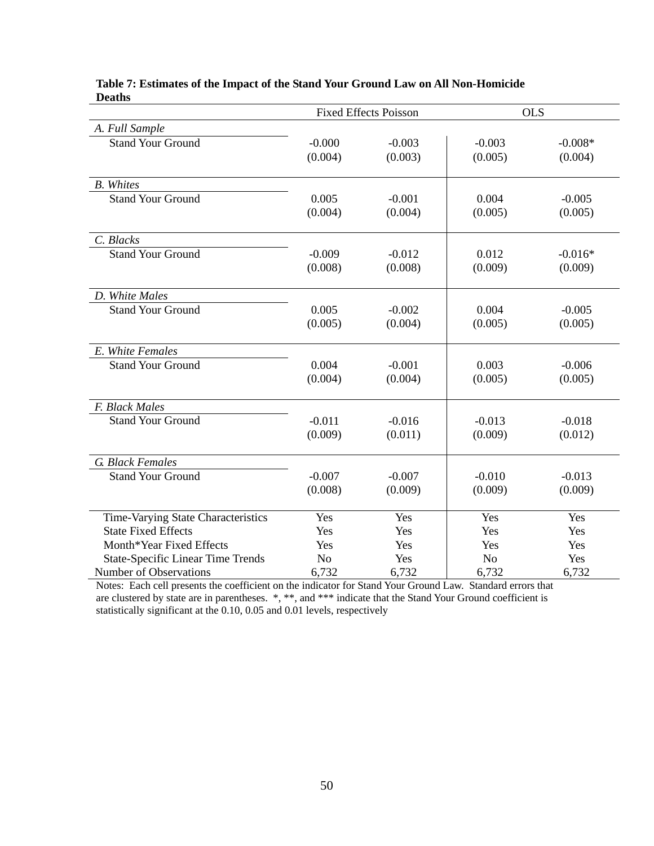|                                              |                     | <b>Fixed Effects Poisson</b> |                     | <b>OLS</b>           |
|----------------------------------------------|---------------------|------------------------------|---------------------|----------------------|
| A. Full Sample                               |                     |                              |                     |                      |
| <b>Stand Your Ground</b>                     | $-0.000$<br>(0.004) | $-0.003$<br>(0.003)          | $-0.003$<br>(0.005) | $-0.008*$<br>(0.004) |
|                                              |                     |                              |                     |                      |
| <b>B.</b> Whites<br><b>Stand Your Ground</b> |                     |                              |                     |                      |
|                                              | 0.005<br>(0.004)    | $-0.001$<br>(0.004)          | 0.004<br>(0.005)    | $-0.005$<br>(0.005)  |
|                                              |                     |                              |                     |                      |
| C. Blacks                                    |                     |                              |                     |                      |
| <b>Stand Your Ground</b>                     | $-0.009$            | $-0.012$                     | 0.012               | $-0.016*$            |
|                                              | (0.008)             | (0.008)                      | (0.009)             | (0.009)              |
| D. White Males                               |                     |                              |                     |                      |
| <b>Stand Your Ground</b>                     | 0.005               | $-0.002$                     | 0.004               | $-0.005$             |
|                                              | (0.005)             | (0.004)                      | (0.005)             | (0.005)              |
| E. White Females                             |                     |                              |                     |                      |
| <b>Stand Your Ground</b>                     | 0.004               | $-0.001$                     | 0.003               | $-0.006$             |
|                                              | (0.004)             | (0.004)                      | (0.005)             | (0.005)              |
| F. Black Males                               |                     |                              |                     |                      |
| <b>Stand Your Ground</b>                     | $-0.011$            | $-0.016$                     | $-0.013$            | $-0.018$             |
|                                              | (0.009)             | (0.011)                      | (0.009)             | (0.012)              |
| G. Black Females                             |                     |                              |                     |                      |
| <b>Stand Your Ground</b>                     | $-0.007$            | $-0.007$                     | $-0.010$            | $-0.013$             |
|                                              | (0.008)             | (0.009)                      | (0.009)             | (0.009)              |
| Time-Varying State Characteristics           | Yes                 | Yes                          | Yes                 | Yes                  |
| <b>State Fixed Effects</b>                   | Yes                 | Yes                          | Yes                 | Yes                  |
| Month*Year Fixed Effects                     | Yes                 | Yes                          | Yes                 | Yes                  |
| <b>State-Specific Linear Time Trends</b>     | N <sub>o</sub>      | Yes                          | N <sub>o</sub>      | Yes                  |
| <b>Number of Observations</b>                | 6,732               | 6,732                        | 6,732               | 6,732                |

#### **Table 7: Estimates of the Impact of the Stand Your Ground Law on All Non-Homicide Deaths**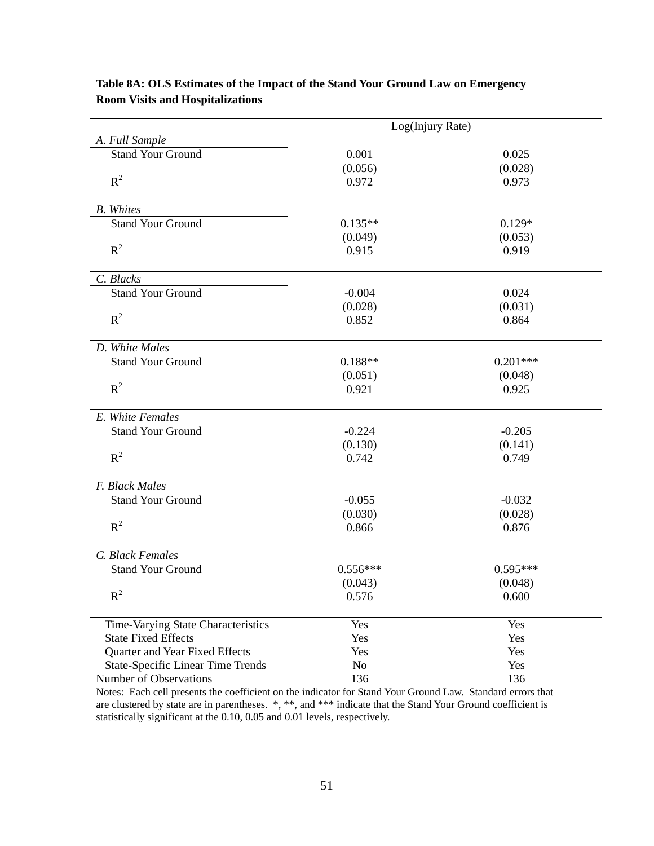| Log(Injury Rate)                         |                |            |
|------------------------------------------|----------------|------------|
| A. Full Sample                           |                |            |
| <b>Stand Your Ground</b>                 | 0.001          | 0.025      |
|                                          | (0.056)        | (0.028)    |
| $R^2$                                    | 0.972          | 0.973      |
| <b>B.</b> Whites                         |                |            |
| <b>Stand Your Ground</b>                 | $0.135**$      | $0.129*$   |
|                                          | (0.049)        | (0.053)    |
| $R^2$                                    | 0.915          | 0.919      |
| C. Blacks                                |                |            |
| <b>Stand Your Ground</b>                 | $-0.004$       | 0.024      |
|                                          | (0.028)        | (0.031)    |
| $R^2$                                    | 0.852          | 0.864      |
| D. White Males                           |                |            |
| <b>Stand Your Ground</b>                 | $0.188**$      | $0.201***$ |
|                                          | (0.051)        | (0.048)    |
| $R^2$                                    | 0.921          | 0.925      |
| E. White Females                         |                |            |
| <b>Stand Your Ground</b>                 | $-0.224$       | $-0.205$   |
|                                          | (0.130)        | (0.141)    |
| $R^2$                                    | 0.742          | 0.749      |
| F. Black Males                           |                |            |
| <b>Stand Your Ground</b>                 | $-0.055$       | $-0.032$   |
|                                          | (0.030)        | (0.028)    |
| $R^2$                                    | 0.866          | 0.876      |
| G. Black Females                         |                |            |
| <b>Stand Your Ground</b>                 | $0.556***$     | $0.595***$ |
|                                          | (0.043)        | (0.048)    |
| $R^2$                                    | 0.576          | 0.600      |
| Time-Varying State Characteristics       | Yes            | Yes        |
| <b>State Fixed Effects</b>               | Yes            | Yes        |
| Quarter and Year Fixed Effects           | Yes            | Yes        |
| <b>State-Specific Linear Time Trends</b> | N <sub>0</sub> | Yes        |
| Number of Observations                   | 136            | 136        |

# **Table 8A: OLS Estimates of the Impact of the Stand Your Ground Law on Emergency Room Visits and Hospitalizations**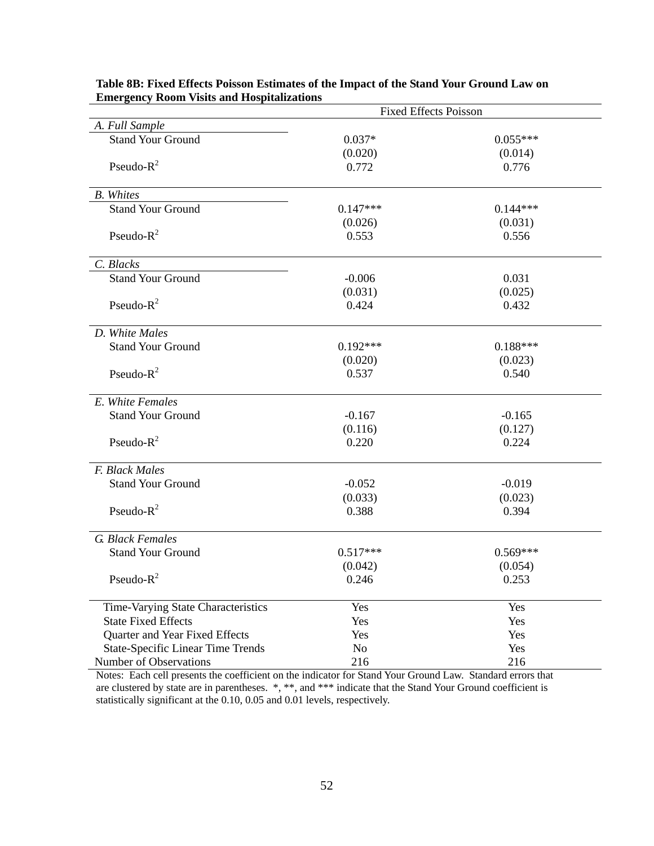| <b>Fixed Effects Poisson</b>             |            |            |
|------------------------------------------|------------|------------|
| A. Full Sample                           |            |            |
| <b>Stand Your Ground</b>                 | $0.037*$   | $0.055***$ |
|                                          | (0.020)    | (0.014)    |
| Pseudo- $R^2$                            | 0.772      | 0.776      |
| <b>B.</b> Whites                         |            |            |
| <b>Stand Your Ground</b>                 | $0.147***$ | $0.144***$ |
|                                          | (0.026)    | (0.031)    |
| Pseudo- $R^2$                            | 0.553      | 0.556      |
| C. Blacks                                |            |            |
| <b>Stand Your Ground</b>                 | $-0.006$   | 0.031      |
|                                          | (0.031)    | (0.025)    |
| Pseudo- $R^2$                            | 0.424      | 0.432      |
| D. White Males                           |            |            |
| <b>Stand Your Ground</b>                 | $0.192***$ | $0.188***$ |
|                                          | (0.020)    | (0.023)    |
| Pseudo- $R^2$                            | 0.537      | 0.540      |
| E. White Females                         |            |            |
| <b>Stand Your Ground</b>                 | $-0.167$   | $-0.165$   |
|                                          | (0.116)    | (0.127)    |
| Pseudo- $R^2$                            | 0.220      | 0.224      |
| F. Black Males                           |            |            |
| <b>Stand Your Ground</b>                 | $-0.052$   | $-0.019$   |
|                                          | (0.033)    | (0.023)    |
| Pseudo- $R^2$                            | 0.388      | 0.394      |
| G. Black Females                         |            |            |
| <b>Stand Your Ground</b>                 | $0.517***$ | $0.569***$ |
|                                          | (0.042)    | (0.054)    |
| Pseudo- $R^2$                            | 0.246      | 0.253      |
| Time-Varying State Characteristics       | Yes        | Yes        |
| <b>State Fixed Effects</b>               | Yes        | Yes        |
| Quarter and Year Fixed Effects           | Yes        | Yes        |
| <b>State-Specific Linear Time Trends</b> | No         | Yes        |
| Number of Observations                   | 216        | 216        |

**Table 8B: Fixed Effects Poisson Estimates of the Impact of the Stand Your Ground Law on Emergency Room Visits and Hospitalizations**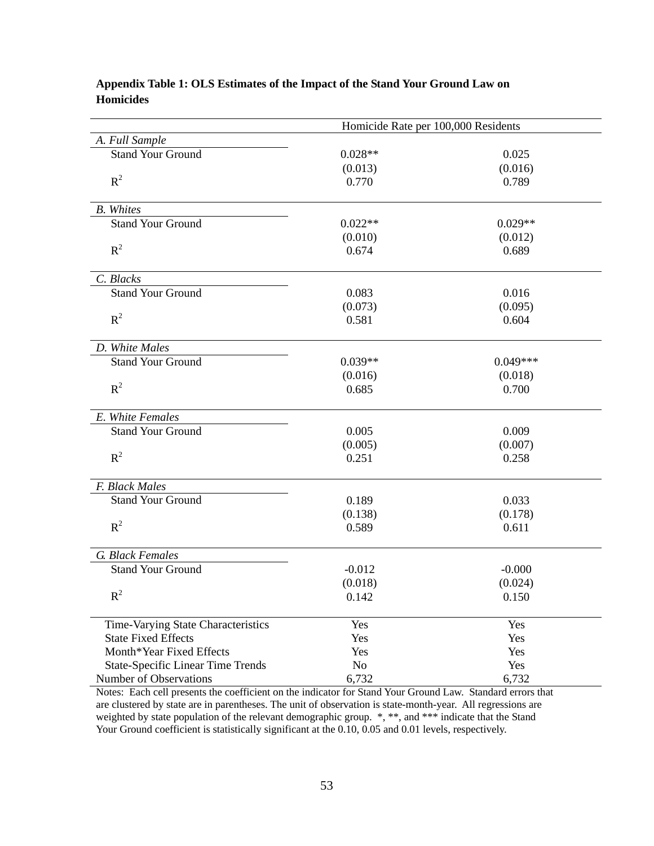| Homicide Rate per 100,000 Residents      |                |            |
|------------------------------------------|----------------|------------|
| A. Full Sample                           |                |            |
| <b>Stand Your Ground</b>                 | $0.028**$      | 0.025      |
|                                          | (0.013)        | (0.016)    |
| $R^2$                                    | 0.770          | 0.789      |
| <b>B.</b> Whites                         |                |            |
| <b>Stand Your Ground</b>                 | $0.022**$      | $0.029**$  |
|                                          | (0.010)        | (0.012)    |
| $R^2$                                    | 0.674          | 0.689      |
| C. Blacks                                |                |            |
| <b>Stand Your Ground</b>                 | 0.083          | 0.016      |
|                                          | (0.073)        | (0.095)    |
| $R^2$                                    | 0.581          | 0.604      |
| D. White Males                           |                |            |
| <b>Stand Your Ground</b>                 | $0.039**$      | $0.049***$ |
|                                          | (0.016)        | (0.018)    |
| $R^2$                                    | 0.685          | 0.700      |
| E. White Females                         |                |            |
| <b>Stand Your Ground</b>                 | 0.005          | 0.009      |
|                                          | (0.005)        | (0.007)    |
| $R^2$                                    | 0.251          | 0.258      |
| F. Black Males                           |                |            |
| <b>Stand Your Ground</b>                 | 0.189          | 0.033      |
|                                          | (0.138)        | (0.178)    |
| $R^2$                                    | 0.589          | 0.611      |
| G. Black Females                         |                |            |
| <b>Stand Your Ground</b>                 | $-0.012$       | $-0.000$   |
|                                          | (0.018)        | (0.024)    |
| $R^2$                                    | 0.142          | 0.150      |
| Time-Varying State Characteristics       | Yes            | Yes        |
| <b>State Fixed Effects</b>               | Yes            | Yes        |
| Month*Year Fixed Effects                 | Yes            | Yes        |
| <b>State-Specific Linear Time Trends</b> | N <sub>0</sub> | Yes        |
| Number of Observations                   | 6,732          | 6,732      |

# **Appendix Table 1: OLS Estimates of the Impact of the Stand Your Ground Law on Homicides**

Notes: Each cell presents the coefficient on the indicator for Stand Your Ground Law. Standard errors that are clustered by state are in parentheses. The unit of observation is state-month-year. All regressions are weighted by state population of the relevant demographic group.  $*, **$ , and  $***$  indicate that the Stand Your Ground coefficient is statistically significant at the 0.10, 0.05 and 0.01 levels, respectively.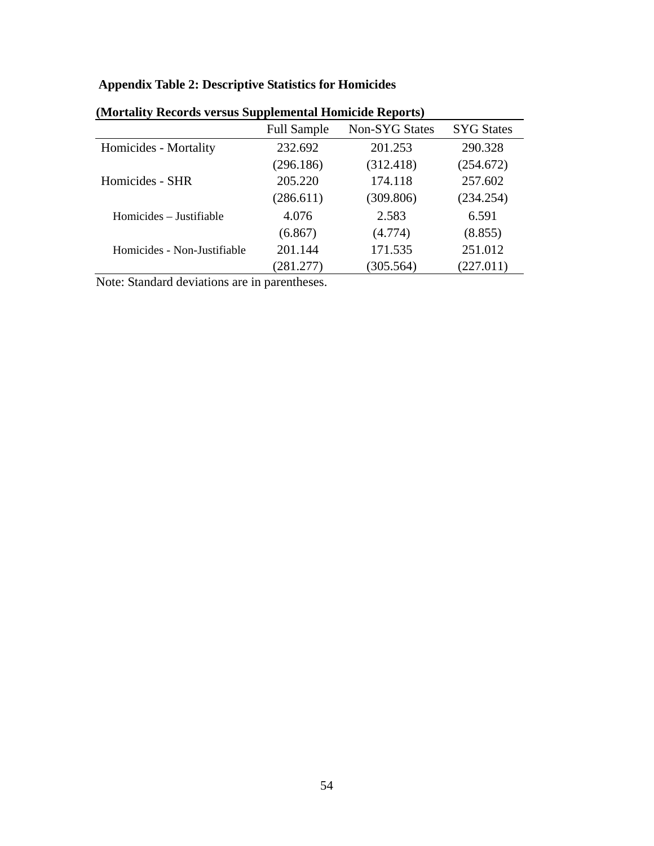# **Appendix Table 2: Descriptive Statistics for Homicides**

|                             | <b>Full Sample</b> | <b>Non-SYG States</b> | <b>SYG States</b> |
|-----------------------------|--------------------|-----------------------|-------------------|
| Homicides - Mortality       | 232.692            | 201.253               | 290.328           |
|                             | (296.186)          | (312.418)             | (254.672)         |
| Homicides - SHR             | 205.220            | 174.118               | 257.602           |
|                             | (286.611)          | (309.806)             | (234.254)         |
| Homicides – Justifiable     | 4.076              | 2.583                 | 6.591             |
|                             | (6.867)            | (4.774)               | (8.855)           |
| Homicides - Non-Justifiable | 201.144            | 171.535               | 251.012           |
|                             | (281.277)          | (305.564)             | (227.011)         |
|                             |                    |                       |                   |

**(Mortality Records versus Supplemental Homicide Reports)** 

Note: Standard deviations are in parentheses.